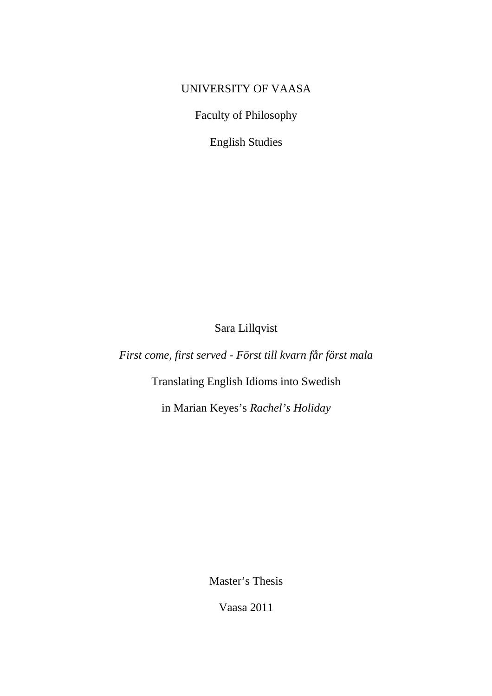# UNIVERSITY OF VAASA

Faculty of Philosophy

English Studies

Sara Lillqvist

*First come, first served* - *Först till kvarn får först mala* 

Translating English Idioms into Swedish

in Marian Keyes's *Rachel's Holiday*

Master's Thesis

Vaasa 2011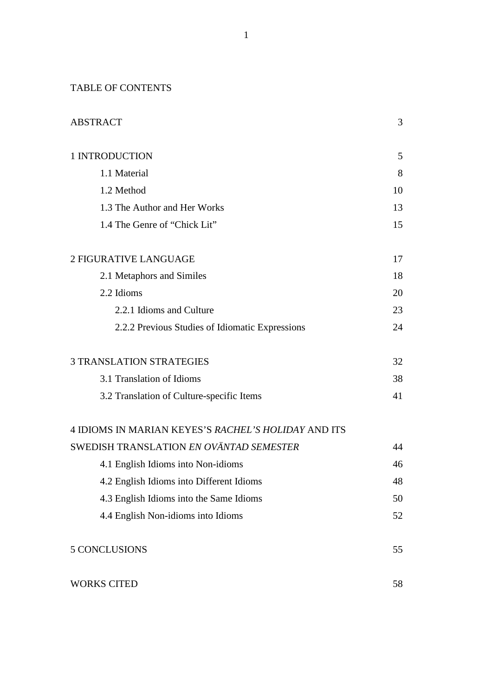TABLE OF CONTENTS

| <b>ABSTRACT</b>                                     | 3  |
|-----------------------------------------------------|----|
| 1 INTRODUCTION                                      | 5  |
| 1.1 Material                                        | 8  |
| 1.2 Method                                          | 10 |
| 1.3 The Author and Her Works                        | 13 |
| 1.4 The Genre of "Chick Lit"                        | 15 |
| 2 FIGURATIVE LANGUAGE                               | 17 |
| 2.1 Metaphors and Similes                           | 18 |
| 2.2 Idioms                                          | 20 |
| 2.2.1 Idioms and Culture                            | 23 |
| 2.2.2 Previous Studies of Idiomatic Expressions     | 24 |
| <b>3 TRANSLATION STRATEGIES</b>                     | 32 |
| 3.1 Translation of Idioms                           | 38 |
| 3.2 Translation of Culture-specific Items           | 41 |
| 4 IDIOMS IN MARIAN KEYES'S RACHEL'S HOLIDAY AND ITS |    |
| SWEDISH TRANSLATION EN OVÄNTAD SEMESTER             | 44 |
| 4.1 English Idioms into Non-idioms                  | 46 |
| 4.2 English Idioms into Different Idioms            | 48 |
| 4.3 English Idioms into the Same Idioms             | 50 |
| 4.4 English Non-idioms into Idioms                  | 52 |
| 5 CONCLUSIONS                                       | 55 |
| <b>WORKS CITED</b>                                  | 58 |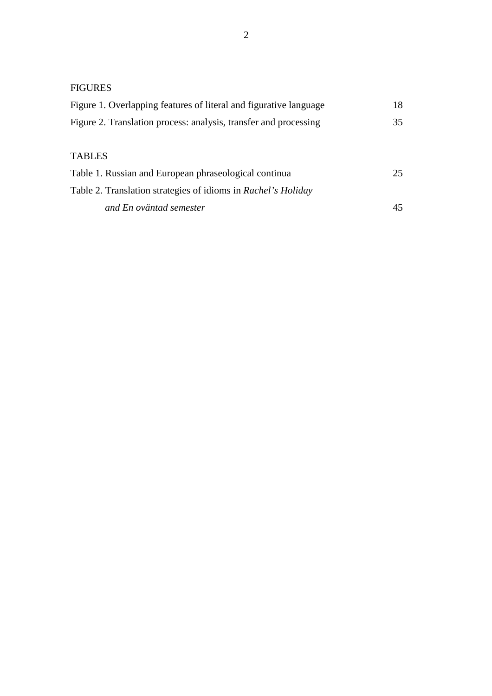# FIGURES

| Figure 1. Overlapping features of literal and figurative language | 18 |  |  |
|-------------------------------------------------------------------|----|--|--|
| Figure 2. Translation process: analysis, transfer and processing  |    |  |  |
| <b>TABLES</b>                                                     |    |  |  |
| Table 1. Russian and European phraseological continua             | 25 |  |  |
| Table 2. Translation strategies of idioms in Rachel's Holiday     |    |  |  |
| and En oväntad semester                                           |    |  |  |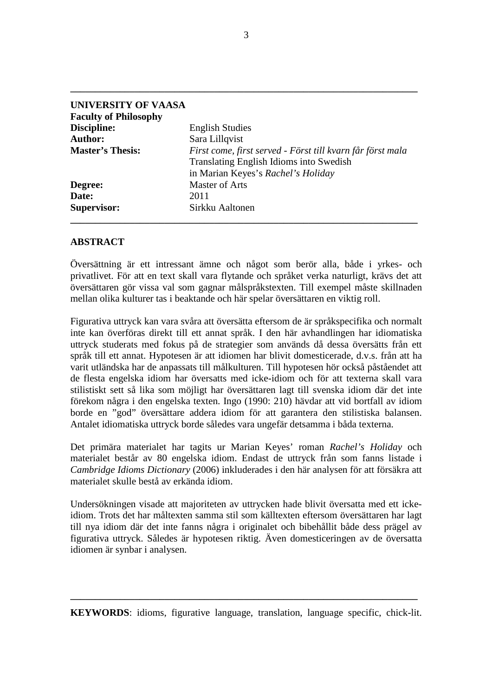| <b>UNIVERSITY OF VAASA</b>   |                                                                                                                                                    |
|------------------------------|----------------------------------------------------------------------------------------------------------------------------------------------------|
| <b>Faculty of Philosophy</b> |                                                                                                                                                    |
| Discipline:                  | <b>English Studies</b>                                                                                                                             |
| <b>Author:</b>               | Sara Lillqvist                                                                                                                                     |
| <b>Master's Thesis:</b>      | First come, first served - Först till kvarn får först mala<br><b>Translating English Idioms into Swedish</b><br>in Marian Keyes's Rachel's Holiday |
| Degree:                      | <b>Master of Arts</b>                                                                                                                              |
| Date:                        | 2011                                                                                                                                               |
| <b>Supervisor:</b>           | Sirkku Aaltonen                                                                                                                                    |

## **ABSTRACT**

Översättning är ett intressant ämne och något som berör alla, både i yrkes- och privatlivet. För att en text skall vara flytande och språket verka naturligt, krävs det att översättaren gör vissa val som gagnar målspråkstexten. Till exempel måste skillnaden mellan olika kulturer tas i beaktande och här spelar översättaren en viktig roll.

Figurativa uttryck kan vara svåra att översätta eftersom de är språkspecifika och normalt inte kan överföras direkt till ett annat språk. I den här avhandlingen har idiomatiska uttryck studerats med fokus på de strategier som används då dessa översätts från ett språk till ett annat. Hypotesen är att idiomen har blivit domesticerade, d.v.s. från att ha varit utländska har de anpassats till målkulturen. Till hypotesen hör också påståendet att de flesta engelska idiom har översatts med icke-idiom och för att texterna skall vara stilistiskt sett så lika som möjligt har översättaren lagt till svenska idiom där det inte förekom några i den engelska texten. Ingo (1990: 210) hävdar att vid bortfall av idiom borde en "god" översättare addera idiom för att garantera den stilistiska balansen. Antalet idiomatiska uttryck borde således vara ungefär detsamma i båda texterna.

Det primära materialet har tagits ur Marian Keyes' roman *Rachel's Holiday* och materialet består av 80 engelska idiom. Endast de uttryck från som fanns listade i *Cambridge Idioms Dictionary* (2006) inkluderades i den här analysen för att försäkra att materialet skulle bestå av erkända idiom.

Undersökningen visade att majoriteten av uttrycken hade blivit översatta med ett ickeidiom. Trots det har måltexten samma stil som källtexten eftersom översättaren har lagt till nya idiom där det inte fanns några i originalet och bibehållit både dess prägel av figurativa uttryck. Således är hypotesen riktig. Även domesticeringen av de översatta idiomen är synbar i analysen.

**KEYWORDS**: idioms, figurative language, translation, language specific, chick-lit.

**\_\_\_\_\_\_\_\_\_\_\_\_\_\_\_\_\_\_\_\_\_\_\_\_\_\_\_\_\_\_\_\_\_\_\_\_\_\_\_\_\_\_\_\_\_\_\_\_\_\_\_\_\_\_\_\_\_\_\_\_\_\_\_\_\_\_\_\_\_\_**

**\_\_\_\_\_\_\_\_\_\_\_\_\_\_\_\_\_\_\_\_\_\_\_\_\_\_\_\_\_\_\_\_\_\_\_\_\_\_\_\_\_\_\_\_\_\_\_\_\_\_\_\_\_\_\_\_\_\_\_\_\_\_\_\_\_\_\_\_\_\_**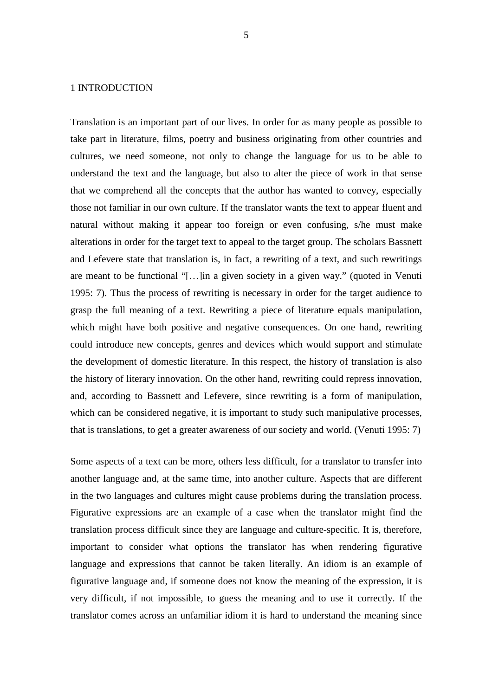## 1 INTRODUCTION

Translation is an important part of our lives. In order for as many people as possible to take part in literature, films, poetry and business originating from other countries and cultures, we need someone, not only to change the language for us to be able to understand the text and the language, but also to alter the piece of work in that sense that we comprehend all the concepts that the author has wanted to convey, especially those not familiar in our own culture. If the translator wants the text to appear fluent and natural without making it appear too foreign or even confusing, s/he must make alterations in order for the target text to appeal to the target group. The scholars Bassnett and Lefevere state that translation is, in fact, a rewriting of a text, and such rewritings are meant to be functional "[…]in a given society in a given way." (quoted in Venuti 1995: 7). Thus the process of rewriting is necessary in order for the target audience to grasp the full meaning of a text. Rewriting a piece of literature equals manipulation, which might have both positive and negative consequences. On one hand, rewriting could introduce new concepts, genres and devices which would support and stimulate the development of domestic literature. In this respect, the history of translation is also the history of literary innovation. On the other hand, rewriting could repress innovation, and, according to Bassnett and Lefevere, since rewriting is a form of manipulation, which can be considered negative, it is important to study such manipulative processes, that is translations, to get a greater awareness of our society and world. (Venuti 1995: 7)

Some aspects of a text can be more, others less difficult, for a translator to transfer into another language and, at the same time, into another culture. Aspects that are different in the two languages and cultures might cause problems during the translation process. Figurative expressions are an example of a case when the translator might find the translation process difficult since they are language and culture-specific. It is, therefore, important to consider what options the translator has when rendering figurative language and expressions that cannot be taken literally. An idiom is an example of figurative language and, if someone does not know the meaning of the expression, it is very difficult, if not impossible, to guess the meaning and to use it correctly. If the translator comes across an unfamiliar idiom it is hard to understand the meaning since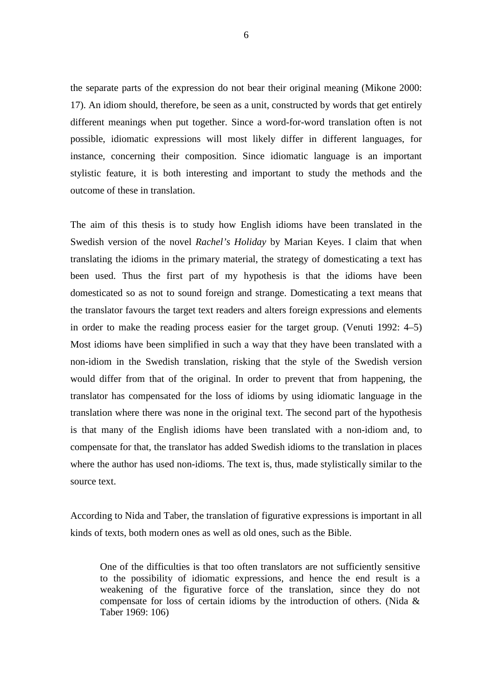the separate parts of the expression do not bear their original meaning (Mikone 2000: 17). An idiom should, therefore, be seen as a unit, constructed by words that get entirely different meanings when put together. Since a word-for-word translation often is not possible, idiomatic expressions will most likely differ in different languages, for instance, concerning their composition. Since idiomatic language is an important stylistic feature, it is both interesting and important to study the methods and the outcome of these in translation.

The aim of this thesis is to study how English idioms have been translated in the Swedish version of the novel *Rachel's Holiday* by Marian Keyes. I claim that when translating the idioms in the primary material, the strategy of domesticating a text has been used. Thus the first part of my hypothesis is that the idioms have been domesticated so as not to sound foreign and strange. Domesticating a text means that the translator favours the target text readers and alters foreign expressions and elements in order to make the reading process easier for the target group. (Venuti 1992: 4–5) Most idioms have been simplified in such a way that they have been translated with a non-idiom in the Swedish translation, risking that the style of the Swedish version would differ from that of the original. In order to prevent that from happening, the translator has compensated for the loss of idioms by using idiomatic language in the translation where there was none in the original text. The second part of the hypothesis is that many of the English idioms have been translated with a non-idiom and, to compensate for that, the translator has added Swedish idioms to the translation in places where the author has used non-idioms. The text is, thus, made stylistically similar to the source text.

According to Nida and Taber, the translation of figurative expressions is important in all kinds of texts, both modern ones as well as old ones, such as the Bible.

One of the difficulties is that too often translators are not sufficiently sensitive to the possibility of idiomatic expressions, and hence the end result is a weakening of the figurative force of the translation, since they do not compensate for loss of certain idioms by the introduction of others. (Nida & Taber 1969: 106)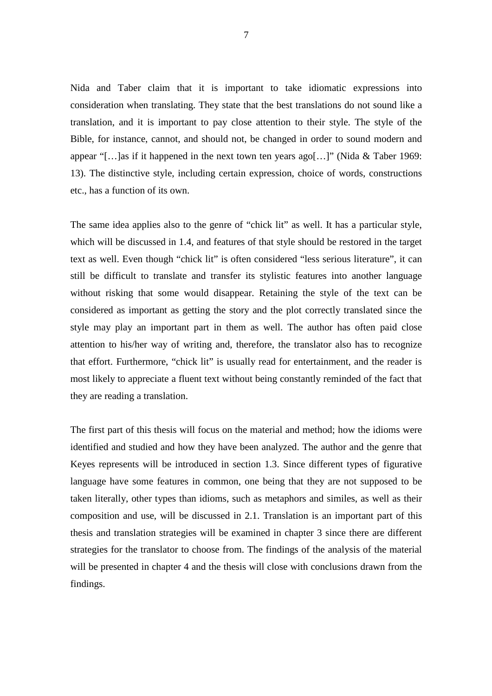Nida and Taber claim that it is important to take idiomatic expressions into consideration when translating. They state that the best translations do not sound like a translation, and it is important to pay close attention to their style. The style of the Bible, for instance, cannot, and should not, be changed in order to sound modern and appear "[...]as if it happened in the next town ten years ago[...]" (Nida & Taber 1969: 13). The distinctive style, including certain expression, choice of words, constructions etc., has a function of its own.

The same idea applies also to the genre of "chick lit" as well. It has a particular style, which will be discussed in 1.4, and features of that style should be restored in the target text as well. Even though "chick lit" is often considered "less serious literature", it can still be difficult to translate and transfer its stylistic features into another language without risking that some would disappear. Retaining the style of the text can be considered as important as getting the story and the plot correctly translated since the style may play an important part in them as well. The author has often paid close attention to his/her way of writing and, therefore, the translator also has to recognize that effort. Furthermore, "chick lit" is usually read for entertainment, and the reader is most likely to appreciate a fluent text without being constantly reminded of the fact that they are reading a translation.

The first part of this thesis will focus on the material and method; how the idioms were identified and studied and how they have been analyzed. The author and the genre that Keyes represents will be introduced in section 1.3. Since different types of figurative language have some features in common, one being that they are not supposed to be taken literally, other types than idioms, such as metaphors and similes, as well as their composition and use, will be discussed in 2.1. Translation is an important part of this thesis and translation strategies will be examined in chapter 3 since there are different strategies for the translator to choose from. The findings of the analysis of the material will be presented in chapter 4 and the thesis will close with conclusions drawn from the findings.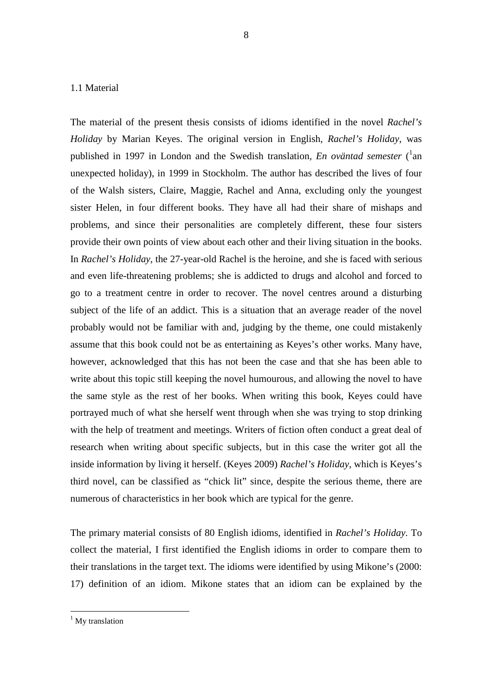## 1.1 Material

The material of the present thesis consists of idioms identified in the novel *Rachel's Holiday* by Marian Keyes. The original version in English, *Rachel's Holiday*, was published in 1997 in London and the Swedish translation, *En oväntad semester* (<sup>1</sup>an unexpected holiday), in 1999 in Stockholm. The author has described the lives of four of the Walsh sisters, Claire, Maggie, Rachel and Anna, excluding only the youngest sister Helen, in four different books. They have all had their share of mishaps and problems, and since their personalities are completely different, these four sisters provide their own points of view about each other and their living situation in the books. In *Rachel's Holiday*, the 27-year-old Rachel is the heroine, and she is faced with serious and even life-threatening problems; she is addicted to drugs and alcohol and forced to go to a treatment centre in order to recover. The novel centres around a disturbing subject of the life of an addict. This is a situation that an average reader of the novel probably would not be familiar with and, judging by the theme, one could mistakenly assume that this book could not be as entertaining as Keyes's other works. Many have, however, acknowledged that this has not been the case and that she has been able to write about this topic still keeping the novel humourous, and allowing the novel to have the same style as the rest of her books. When writing this book, Keyes could have portrayed much of what she herself went through when she was trying to stop drinking with the help of treatment and meetings. Writers of fiction often conduct a great deal of research when writing about specific subjects, but in this case the writer got all the inside information by living it herself. (Keyes 2009) *Rachel's Holiday*, which is Keyes's third novel, can be classified as "chick lit" since, despite the serious theme, there are numerous of characteristics in her book which are typical for the genre.

The primary material consists of 80 English idioms, identified in *Rachel's Holiday*. To collect the material, I first identified the English idioms in order to compare them to their translations in the target text. The idioms were identified by using Mikone's (2000: 17) definition of an idiom. Mikone states that an idiom can be explained by the

<sup>&</sup>lt;sup>1</sup> My translation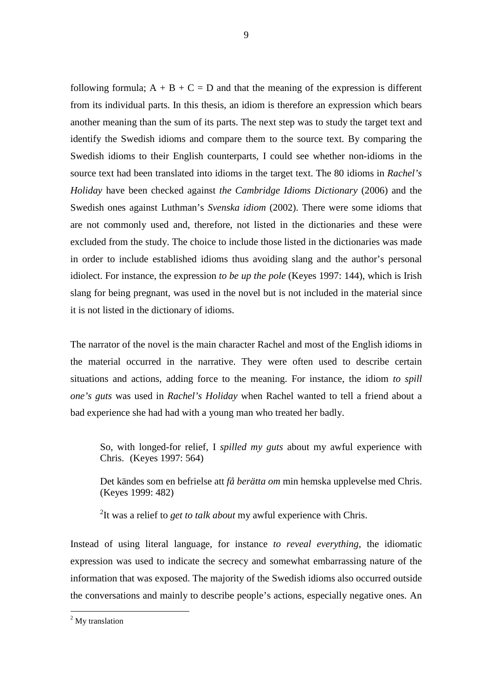following formula;  $A + B + C = D$  and that the meaning of the expression is different from its individual parts. In this thesis, an idiom is therefore an expression which bears another meaning than the sum of its parts. The next step was to study the target text and identify the Swedish idioms and compare them to the source text. By comparing the Swedish idioms to their English counterparts, I could see whether non-idioms in the source text had been translated into idioms in the target text. The 80 idioms in *Rachel's Holiday* have been checked against *the Cambridge Idioms Dictionary* (2006) and the Swedish ones against Luthman's *Svenska idiom* (2002). There were some idioms that are not commonly used and, therefore, not listed in the dictionaries and these were excluded from the study. The choice to include those listed in the dictionaries was made in order to include established idioms thus avoiding slang and the author's personal idiolect. For instance, the expression *to be up the pole* (Keyes 1997: 144), which is Irish slang for being pregnant, was used in the novel but is not included in the material since it is not listed in the dictionary of idioms.

The narrator of the novel is the main character Rachel and most of the English idioms in the material occurred in the narrative. They were often used to describe certain situations and actions, adding force to the meaning. For instance, the idiom *to spill one's guts* was used in *Rachel's Holiday* when Rachel wanted to tell a friend about a bad experience she had had with a young man who treated her badly.

 So, with longed-for relief, I *spilled my guts* about my awful experience with Chris. (Keyes 1997: 564)

 Det kändes som en befrielse att *få berätta om* min hemska upplevelse med Chris. (Keyes 1999: 482)

2 It was a relief to *get to talk about* my awful experience with Chris.

Instead of using literal language, for instance *to reveal everything*, the idiomatic expression was used to indicate the secrecy and somewhat embarrassing nature of the information that was exposed. The majority of the Swedish idioms also occurred outside the conversations and mainly to describe people's actions, especially negative ones. An

<sup>&</sup>lt;sup>2</sup> My translation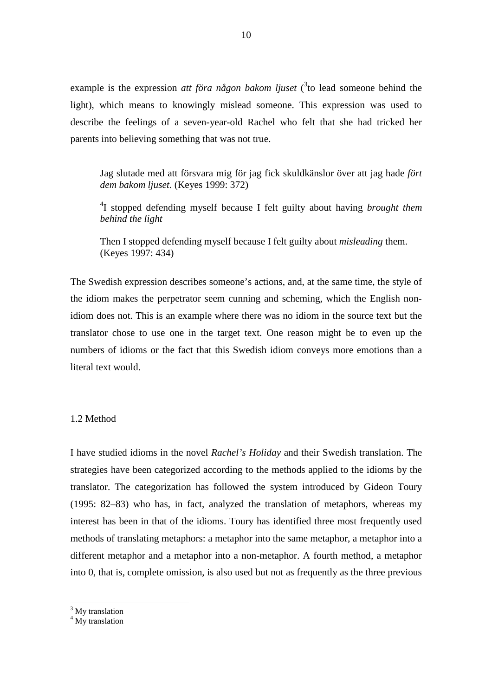example is the expression *att föra någon bakom ljuset* (<sup>3</sup> to lead someone behind the light), which means to knowingly mislead someone. This expression was used to describe the feelings of a seven-year-old Rachel who felt that she had tricked her parents into believing something that was not true.

 Jag slutade med att försvara mig för jag fick skuldkänslor över att jag hade *fört dem bakom ljuset*. (Keyes 1999: 372)

4 I stopped defending myself because I felt guilty about having *brought them behind the light*

 Then I stopped defending myself because I felt guilty about *misleading* them. (Keyes 1997: 434)

The Swedish expression describes someone's actions, and, at the same time, the style of the idiom makes the perpetrator seem cunning and scheming, which the English nonidiom does not. This is an example where there was no idiom in the source text but the translator chose to use one in the target text. One reason might be to even up the numbers of idioms or the fact that this Swedish idiom conveys more emotions than a literal text would.

## 1.2 Method

I have studied idioms in the novel *Rachel's Holiday* and their Swedish translation. The strategies have been categorized according to the methods applied to the idioms by the translator. The categorization has followed the system introduced by Gideon Toury (1995: 82–83) who has, in fact, analyzed the translation of metaphors, whereas my interest has been in that of the idioms. Toury has identified three most frequently used methods of translating metaphors: a metaphor into the same metaphor, a metaphor into a different metaphor and a metaphor into a non-metaphor. A fourth method, a metaphor into 0, that is, complete omission, is also used but not as frequently as the three previous

<sup>&</sup>lt;sup>3</sup> My translation

<sup>&</sup>lt;sup>4</sup> My translation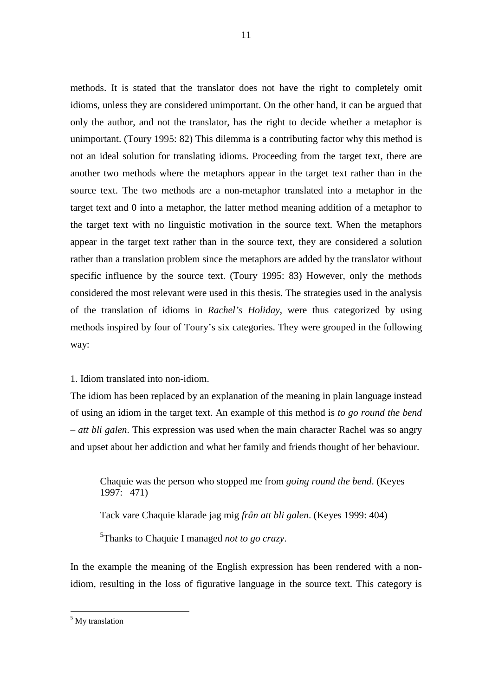methods. It is stated that the translator does not have the right to completely omit idioms, unless they are considered unimportant. On the other hand, it can be argued that only the author, and not the translator, has the right to decide whether a metaphor is unimportant. (Toury 1995: 82) This dilemma is a contributing factor why this method is not an ideal solution for translating idioms. Proceeding from the target text, there are another two methods where the metaphors appear in the target text rather than in the source text. The two methods are a non-metaphor translated into a metaphor in the target text and 0 into a metaphor, the latter method meaning addition of a metaphor to the target text with no linguistic motivation in the source text. When the metaphors appear in the target text rather than in the source text, they are considered a solution rather than a translation problem since the metaphors are added by the translator without specific influence by the source text. (Toury 1995: 83) However, only the methods considered the most relevant were used in this thesis. The strategies used in the analysis of the translation of idioms in *Rachel's Holiday*, were thus categorized by using methods inspired by four of Toury's six categories. They were grouped in the following way:

1. Idiom translated into non-idiom.

The idiom has been replaced by an explanation of the meaning in plain language instead of using an idiom in the target text. An example of this method is *to go round the bend*  – *att bli galen*. This expression was used when the main character Rachel was so angry and upset about her addiction and what her family and friends thought of her behaviour.

 Chaquie was the person who stopped me from *going round the bend*. (Keyes 1997: 471)

Tack vare Chaquie klarade jag mig *från att bli galen*. (Keyes 1999: 404)

5 Thanks to Chaquie I managed *not to go crazy*.

In the example the meaning of the English expression has been rendered with a nonidiom, resulting in the loss of figurative language in the source text. This category is

<sup>5</sup> My translation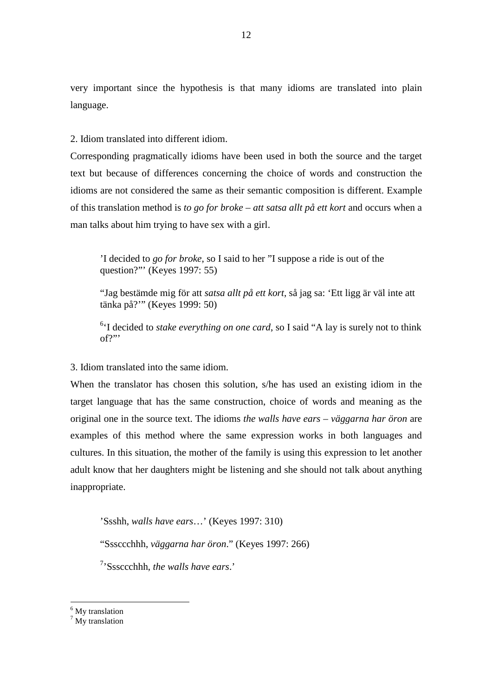very important since the hypothesis is that many idioms are translated into plain language.

2. Idiom translated into different idiom.

Corresponding pragmatically idioms have been used in both the source and the target text but because of differences concerning the choice of words and construction the idioms are not considered the same as their semantic composition is different. Example of this translation method is *to go for broke* – *att satsa allt på ett kort* and occurs when a man talks about him trying to have sex with a girl.

 'I decided to *go for broke*, so I said to her "I suppose a ride is out of the question?"' (Keyes 1997: 55)

 "Jag bestämde mig för att *satsa allt på ett kort*, så jag sa: 'Ett ligg är väl inte att tänka på?'" (Keyes 1999: 50)

<sup>6</sup>'I decided to *stake everything on one card*, so I said "A lay is surely not to think of?"'

3. Idiom translated into the same idiom.

When the translator has chosen this solution, s/he has used an existing idiom in the target language that has the same construction, choice of words and meaning as the original one in the source text. The idioms *the walls have ears* – *väggarna har öron* are examples of this method where the same expression works in both languages and cultures. In this situation, the mother of the family is using this expression to let another adult know that her daughters might be listening and she should not talk about anything inappropriate.

'Ssshh, *walls have ears*…' (Keyes 1997: 310)

"Sssccchhh, *väggarna har öron*." (Keyes 1997: 266)

7 'Sssccchhh, *the walls have ears*.'

<sup>&</sup>lt;sup>6</sup> My translation

<sup>&</sup>lt;sup>7</sup> My translation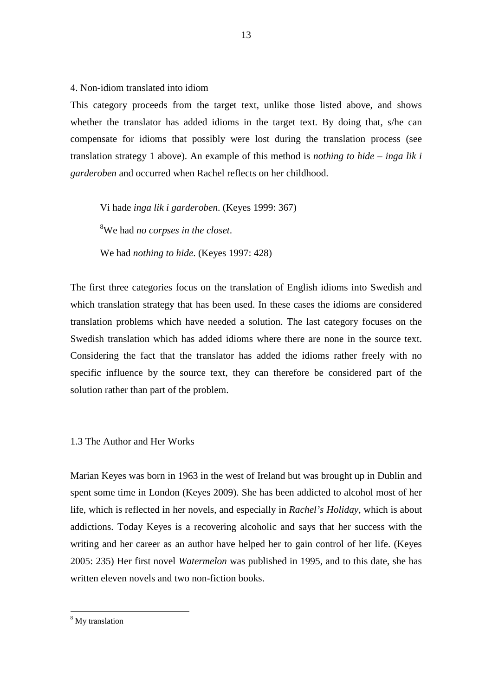4. Non-idiom translated into idiom

This category proceeds from the target text, unlike those listed above, and shows whether the translator has added idioms in the target text. By doing that, s/he can compensate for idioms that possibly were lost during the translation process (see translation strategy 1 above). An example of this method is *nothing to hide* – *inga lik i garderoben* and occurred when Rachel reflects on her childhood.

Vi hade *inga lik i garderoben*. (Keyes 1999: 367)

<sup>8</sup>We had *no corpses in the closet*.

We had *nothing to hide*. (Keyes 1997: 428)

The first three categories focus on the translation of English idioms into Swedish and which translation strategy that has been used. In these cases the idioms are considered translation problems which have needed a solution. The last category focuses on the Swedish translation which has added idioms where there are none in the source text. Considering the fact that the translator has added the idioms rather freely with no specific influence by the source text, they can therefore be considered part of the solution rather than part of the problem.

## 1.3 The Author and Her Works

Marian Keyes was born in 1963 in the west of Ireland but was brought up in Dublin and spent some time in London (Keyes 2009). She has been addicted to alcohol most of her life, which is reflected in her novels, and especially in *Rachel's Holiday*, which is about addictions. Today Keyes is a recovering alcoholic and says that her success with the writing and her career as an author have helped her to gain control of her life. (Keyes 2005: 235) Her first novel *Watermelon* was published in 1995, and to this date, she has written eleven novels and two non-fiction books.

<sup>8</sup> My translation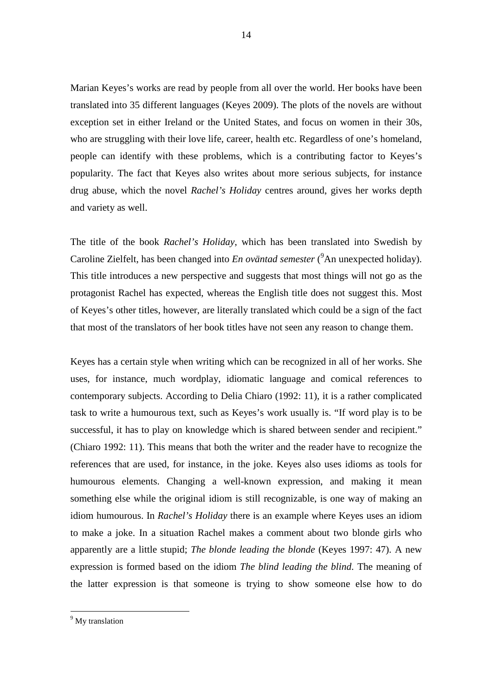Marian Keyes's works are read by people from all over the world. Her books have been translated into 35 different languages (Keyes 2009). The plots of the novels are without exception set in either Ireland or the United States, and focus on women in their 30s, who are struggling with their love life, career, health etc. Regardless of one's homeland, people can identify with these problems, which is a contributing factor to Keyes's popularity. The fact that Keyes also writes about more serious subjects, for instance drug abuse, which the novel *Rachel's Holiday* centres around, gives her works depth and variety as well.

The title of the book *Rachel's Holiday*, which has been translated into Swedish by Caroline Zielfelt, has been changed into *En oväntad semester* (<sup>9</sup>An unexpected holiday). This title introduces a new perspective and suggests that most things will not go as the protagonist Rachel has expected, whereas the English title does not suggest this. Most of Keyes's other titles, however, are literally translated which could be a sign of the fact that most of the translators of her book titles have not seen any reason to change them.

Keyes has a certain style when writing which can be recognized in all of her works. She uses, for instance, much wordplay, idiomatic language and comical references to contemporary subjects. According to Delia Chiaro (1992: 11), it is a rather complicated task to write a humourous text, such as Keyes's work usually is. "If word play is to be successful, it has to play on knowledge which is shared between sender and recipient." (Chiaro 1992: 11). This means that both the writer and the reader have to recognize the references that are used, for instance, in the joke. Keyes also uses idioms as tools for humourous elements. Changing a well-known expression, and making it mean something else while the original idiom is still recognizable, is one way of making an idiom humourous. In *Rachel's Holiday* there is an example where Keyes uses an idiom to make a joke. In a situation Rachel makes a comment about two blonde girls who apparently are a little stupid; *The blonde leading the blonde* (Keyes 1997: 47). A new expression is formed based on the idiom *The blind leading the blind*. The meaning of the latter expression is that someone is trying to show someone else how to do

<sup>&</sup>lt;sup>9</sup> My translation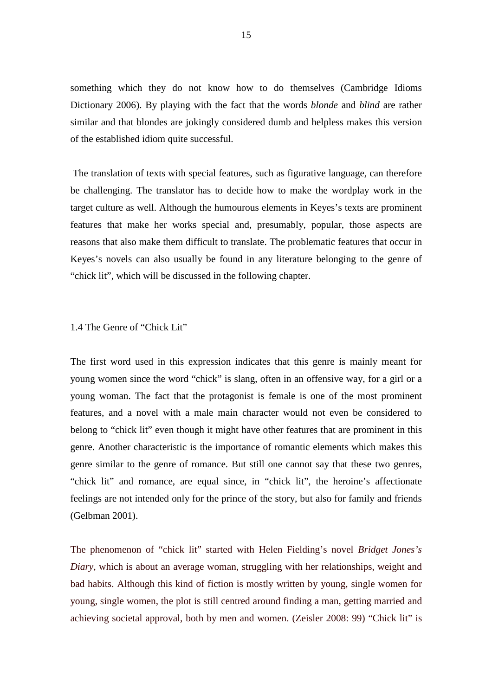something which they do not know how to do themselves (Cambridge Idioms Dictionary 2006). By playing with the fact that the words *blonde* and *blind* are rather similar and that blondes are jokingly considered dumb and helpless makes this version of the established idiom quite successful.

 The translation of texts with special features, such as figurative language, can therefore be challenging. The translator has to decide how to make the wordplay work in the target culture as well. Although the humourous elements in Keyes's texts are prominent features that make her works special and, presumably, popular, those aspects are reasons that also make them difficult to translate. The problematic features that occur in Keyes's novels can also usually be found in any literature belonging to the genre of "chick lit", which will be discussed in the following chapter.

#### 1.4 The Genre of "Chick Lit"

The first word used in this expression indicates that this genre is mainly meant for young women since the word "chick" is slang, often in an offensive way, for a girl or a young woman. The fact that the protagonist is female is one of the most prominent features, and a novel with a male main character would not even be considered to belong to "chick lit" even though it might have other features that are prominent in this genre. Another characteristic is the importance of romantic elements which makes this genre similar to the genre of romance. But still one cannot say that these two genres, "chick lit" and romance, are equal since, in "chick lit", the heroine's affectionate feelings are not intended only for the prince of the story, but also for family and friends (Gelbman 2001).

The phenomenon of "chick lit" started with Helen Fielding's novel *Bridget Jones's Diary*, which is about an average woman, struggling with her relationships, weight and bad habits. Although this kind of fiction is mostly written by young, single women for young, single women, the plot is still centred around finding a man, getting married and achieving societal approval, both by men and women. (Zeisler 2008: 99) "Chick lit" is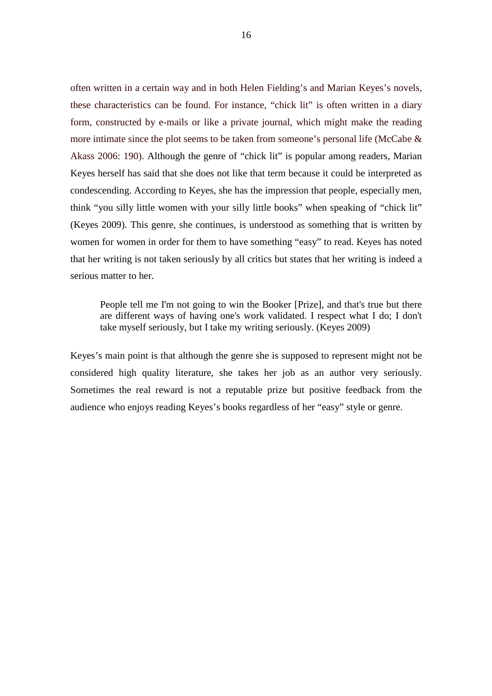often written in a certain way and in both Helen Fielding's and Marian Keyes's novels, these characteristics can be found. For instance, "chick lit" is often written in a diary form, constructed by e-mails or like a private journal, which might make the reading more intimate since the plot seems to be taken from someone's personal life (McCabe & Akass 2006: 190). Although the genre of "chick lit" is popular among readers, Marian Keyes herself has said that she does not like that term because it could be interpreted as condescending. According to Keyes, she has the impression that people, especially men, think "you silly little women with your silly little books" when speaking of "chick lit" (Keyes 2009). This genre, she continues, is understood as something that is written by women for women in order for them to have something "easy" to read. Keyes has noted that her writing is not taken seriously by all critics but states that her writing is indeed a serious matter to her.

 People tell me I'm not going to win the Booker [Prize], and that's true but there are different ways of having one's work validated. I respect what I do; I don't take myself seriously, but I take my writing seriously. (Keyes 2009)

Keyes's main point is that although the genre she is supposed to represent might not be considered high quality literature, she takes her job as an author very seriously. Sometimes the real reward is not a reputable prize but positive feedback from the audience who enjoys reading Keyes's books regardless of her "easy" style or genre.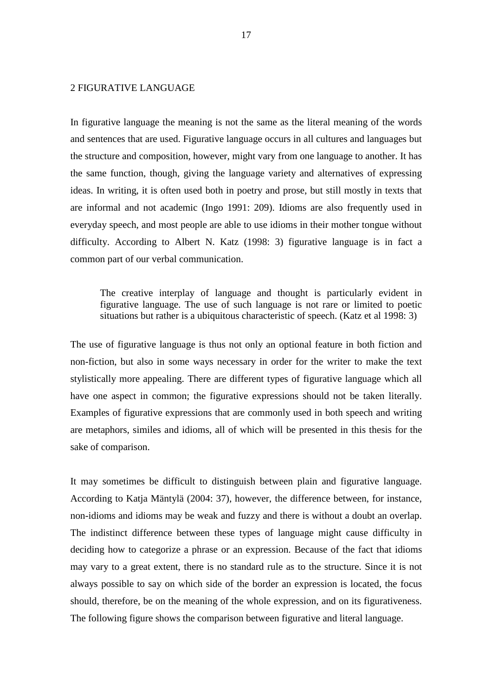# 2 FIGURATIVE LANGUAGE

In figurative language the meaning is not the same as the literal meaning of the words and sentences that are used. Figurative language occurs in all cultures and languages but the structure and composition, however, might vary from one language to another. It has the same function, though, giving the language variety and alternatives of expressing ideas. In writing, it is often used both in poetry and prose, but still mostly in texts that are informal and not academic (Ingo 1991: 209). Idioms are also frequently used in everyday speech, and most people are able to use idioms in their mother tongue without difficulty. According to Albert N. Katz (1998: 3) figurative language is in fact a common part of our verbal communication.

The creative interplay of language and thought is particularly evident in figurative language. The use of such language is not rare or limited to poetic situations but rather is a ubiquitous characteristic of speech. (Katz et al 1998: 3)

The use of figurative language is thus not only an optional feature in both fiction and non-fiction, but also in some ways necessary in order for the writer to make the text stylistically more appealing. There are different types of figurative language which all have one aspect in common; the figurative expressions should not be taken literally. Examples of figurative expressions that are commonly used in both speech and writing are metaphors, similes and idioms, all of which will be presented in this thesis for the sake of comparison.

It may sometimes be difficult to distinguish between plain and figurative language. According to Katja Mäntylä (2004: 37), however, the difference between, for instance, non-idioms and idioms may be weak and fuzzy and there is without a doubt an overlap. The indistinct difference between these types of language might cause difficulty in deciding how to categorize a phrase or an expression. Because of the fact that idioms may vary to a great extent, there is no standard rule as to the structure. Since it is not always possible to say on which side of the border an expression is located, the focus should, therefore, be on the meaning of the whole expression, and on its figurativeness. The following figure shows the comparison between figurative and literal language.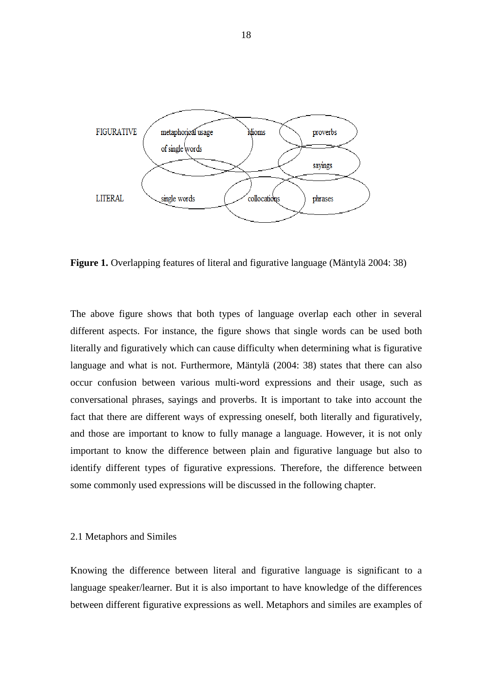

**Figure 1.** Overlapping features of literal and figurative language (Mäntylä 2004: 38)

The above figure shows that both types of language overlap each other in several different aspects. For instance, the figure shows that single words can be used both literally and figuratively which can cause difficulty when determining what is figurative language and what is not. Furthermore, Mäntylä (2004: 38) states that there can also occur confusion between various multi-word expressions and their usage, such as conversational phrases, sayings and proverbs. It is important to take into account the fact that there are different ways of expressing oneself, both literally and figuratively, and those are important to know to fully manage a language. However, it is not only important to know the difference between plain and figurative language but also to identify different types of figurative expressions. Therefore, the difference between some commonly used expressions will be discussed in the following chapter.

#### 2.1 Metaphors and Similes

Knowing the difference between literal and figurative language is significant to a language speaker/learner. But it is also important to have knowledge of the differences between different figurative expressions as well. Metaphors and similes are examples of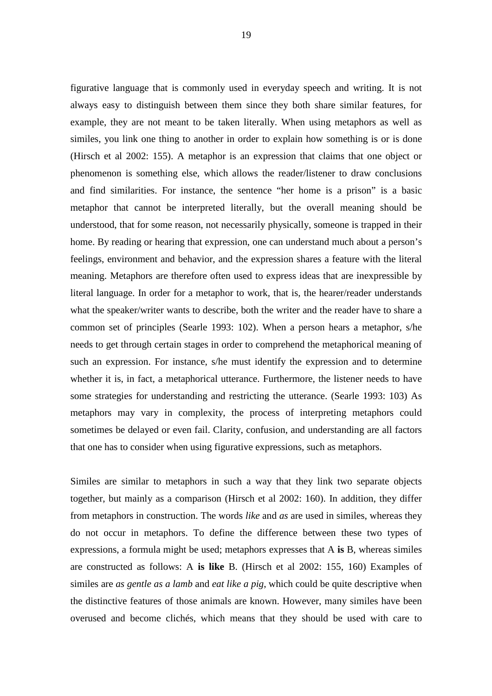figurative language that is commonly used in everyday speech and writing. It is not always easy to distinguish between them since they both share similar features, for example, they are not meant to be taken literally. When using metaphors as well as similes, you link one thing to another in order to explain how something is or is done (Hirsch et al 2002: 155). A metaphor is an expression that claims that one object or phenomenon is something else, which allows the reader/listener to draw conclusions and find similarities. For instance, the sentence "her home is a prison" is a basic metaphor that cannot be interpreted literally, but the overall meaning should be understood, that for some reason, not necessarily physically, someone is trapped in their home. By reading or hearing that expression, one can understand much about a person's feelings, environment and behavior, and the expression shares a feature with the literal meaning. Metaphors are therefore often used to express ideas that are inexpressible by literal language. In order for a metaphor to work, that is, the hearer/reader understands what the speaker/writer wants to describe, both the writer and the reader have to share a common set of principles (Searle 1993: 102). When a person hears a metaphor, s/he needs to get through certain stages in order to comprehend the metaphorical meaning of such an expression. For instance, s/he must identify the expression and to determine whether it is, in fact, a metaphorical utterance. Furthermore, the listener needs to have some strategies for understanding and restricting the utterance. (Searle 1993: 103) As metaphors may vary in complexity, the process of interpreting metaphors could sometimes be delayed or even fail. Clarity, confusion, and understanding are all factors that one has to consider when using figurative expressions, such as metaphors.

Similes are similar to metaphors in such a way that they link two separate objects together, but mainly as a comparison (Hirsch et al 2002: 160). In addition, they differ from metaphors in construction. The words *like* and *as* are used in similes, whereas they do not occur in metaphors. To define the difference between these two types of expressions, a formula might be used; metaphors expresses that A **is** B, whereas similes are constructed as follows: A **is like** B. (Hirsch et al 2002: 155, 160) Examples of similes are *as gentle as a lamb* and *eat like a pig*, which could be quite descriptive when the distinctive features of those animals are known. However, many similes have been overused and become clichés, which means that they should be used with care to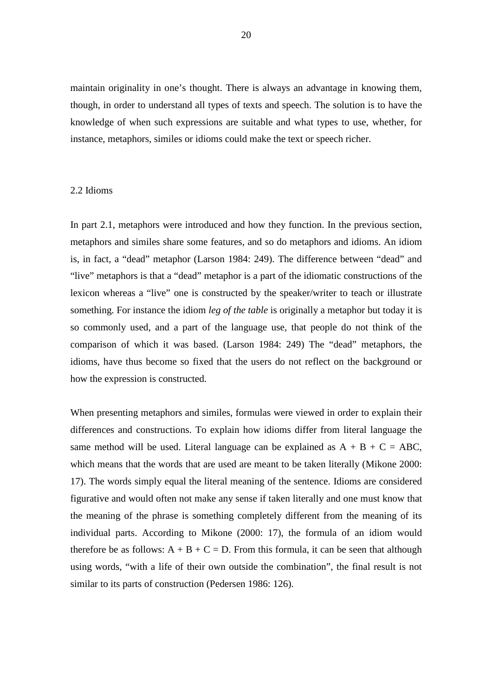maintain originality in one's thought. There is always an advantage in knowing them, though, in order to understand all types of texts and speech. The solution is to have the knowledge of when such expressions are suitable and what types to use, whether, for instance, metaphors, similes or idioms could make the text or speech richer.

### 2.2 Idioms

In part 2.1, metaphors were introduced and how they function. In the previous section, metaphors and similes share some features, and so do metaphors and idioms. An idiom is, in fact, a "dead" metaphor (Larson 1984: 249). The difference between "dead" and "live" metaphors is that a "dead" metaphor is a part of the idiomatic constructions of the lexicon whereas a "live" one is constructed by the speaker/writer to teach or illustrate something. For instance the idiom *leg of the table* is originally a metaphor but today it is so commonly used, and a part of the language use, that people do not think of the comparison of which it was based. (Larson 1984: 249) The "dead" metaphors, the idioms, have thus become so fixed that the users do not reflect on the background or how the expression is constructed.

When presenting metaphors and similes, formulas were viewed in order to explain their differences and constructions. To explain how idioms differ from literal language the same method will be used. Literal language can be explained as  $A + B + C = ABC$ , which means that the words that are used are meant to be taken literally (Mikone 2000: 17). The words simply equal the literal meaning of the sentence. Idioms are considered figurative and would often not make any sense if taken literally and one must know that the meaning of the phrase is something completely different from the meaning of its individual parts. According to Mikone (2000: 17), the formula of an idiom would therefore be as follows:  $A + B + C = D$ . From this formula, it can be seen that although using words, "with a life of their own outside the combination", the final result is not similar to its parts of construction (Pedersen 1986: 126).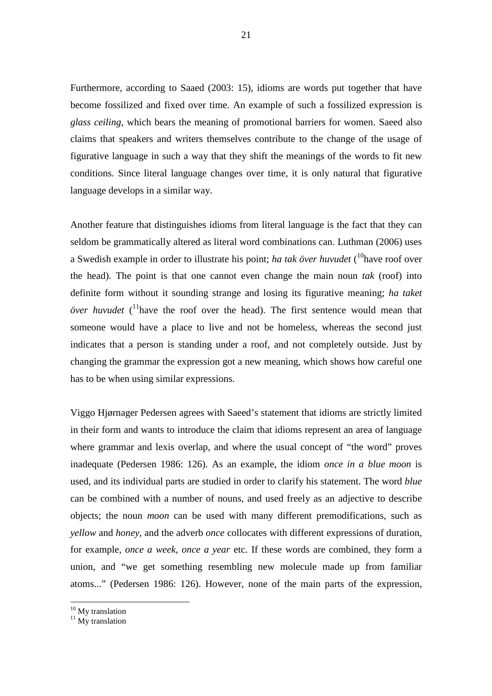Furthermore, according to Saaed (2003: 15), idioms are words put together that have become fossilized and fixed over time. An example of such a fossilized expression is *glass ceiling*, which bears the meaning of promotional barriers for women. Saeed also claims that speakers and writers themselves contribute to the change of the usage of figurative language in such a way that they shift the meanings of the words to fit new conditions. Since literal language changes over time, it is only natural that figurative language develops in a similar way.

Another feature that distinguishes idioms from literal language is the fact that they can seldom be grammatically altered as literal word combinations can. Luthman (2006) uses a Swedish example in order to illustrate his point; *ha tak över huvudet* (<sup>10</sup>have roof over the head). The point is that one cannot even change the main noun *tak* (roof) into definite form without it sounding strange and losing its figurative meaning; *ha taket över huvudet*  $\binom{11}{1}$  have the roof over the head). The first sentence would mean that someone would have a place to live and not be homeless, whereas the second just indicates that a person is standing under a roof, and not completely outside. Just by changing the grammar the expression got a new meaning, which shows how careful one has to be when using similar expressions.

Viggo Hjørnager Pedersen agrees with Saeed's statement that idioms are strictly limited in their form and wants to introduce the claim that idioms represent an area of language where grammar and lexis overlap, and where the usual concept of "the word" proves inadequate (Pedersen 1986: 126). As an example, the idiom *once in a blue moon* is used, and its individual parts are studied in order to clarify his statement. The word *blue* can be combined with a number of nouns, and used freely as an adjective to describe objects; the noun *moon* can be used with many different premodifications, such as *yellow* and *honey*, and the adverb *once* collocates with different expressions of duration, for example, *once a week*, *once a year* etc. If these words are combined, they form a union, and "we get something resembling new molecule made up from familiar atoms..." (Pedersen 1986: 126). However, none of the main parts of the expression,

<sup>&</sup>lt;sup>10</sup> My translation

 $11$  My translation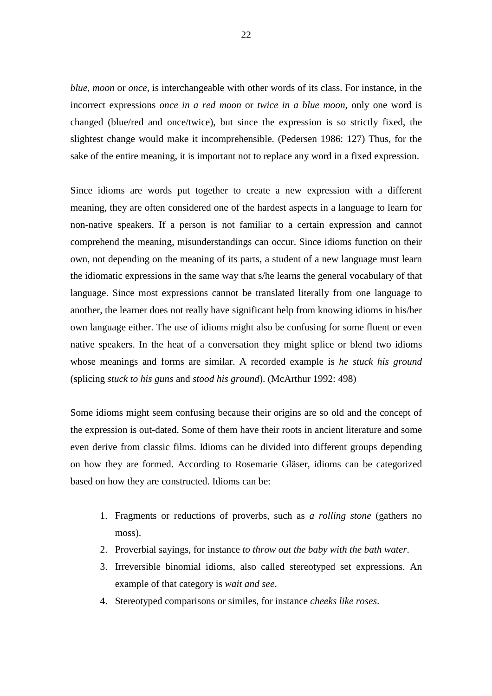*blue, moon* or *once*, is interchangeable with other words of its class. For instance, in the incorrect expressions *once in a red moon* or *twice in a blue moon*, only one word is changed (blue/red and once/twice), but since the expression is so strictly fixed, the slightest change would make it incomprehensible. (Pedersen 1986: 127) Thus, for the sake of the entire meaning, it is important not to replace any word in a fixed expression.

Since idioms are words put together to create a new expression with a different meaning, they are often considered one of the hardest aspects in a language to learn for non-native speakers. If a person is not familiar to a certain expression and cannot comprehend the meaning, misunderstandings can occur. Since idioms function on their own, not depending on the meaning of its parts, a student of a new language must learn the idiomatic expressions in the same way that s/he learns the general vocabulary of that language. Since most expressions cannot be translated literally from one language to another, the learner does not really have significant help from knowing idioms in his/her own language either. The use of idioms might also be confusing for some fluent or even native speakers. In the heat of a conversation they might splice or blend two idioms whose meanings and forms are similar. A recorded example is *he stuck his ground* (splicing *stuck to his guns* and *stood his ground*). (McArthur 1992: 498)

Some idioms might seem confusing because their origins are so old and the concept of the expression is out-dated. Some of them have their roots in ancient literature and some even derive from classic films. Idioms can be divided into different groups depending on how they are formed. According to Rosemarie Gläser, idioms can be categorized based on how they are constructed. Idioms can be:

- 1. Fragments or reductions of proverbs, such as *a rolling stone* (gathers no moss).
- 2. Proverbial sayings, for instance *to throw out the baby with the bath water*.
- 3. Irreversible binomial idioms, also called stereotyped set expressions. An example of that category is *wait and see*.
- 4. Stereotyped comparisons or similes, for instance *cheeks like roses*.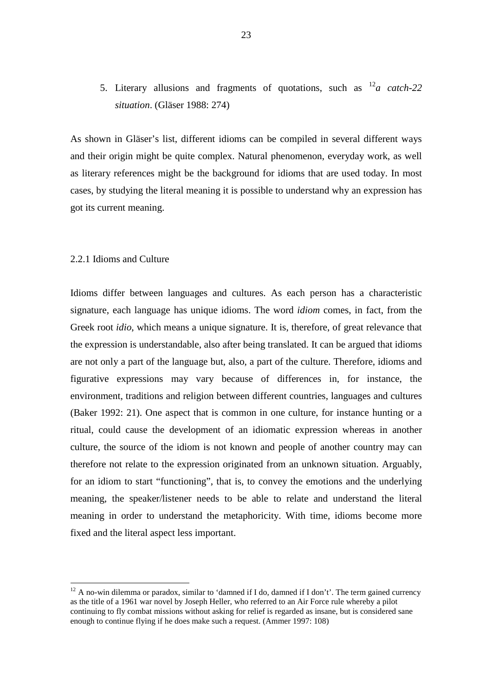5. Literary allusions and fragments of quotations, such as <sup>12</sup>*a catch-22 situation*. (Gläser 1988: 274)

As shown in Gläser's list, different idioms can be compiled in several different ways and their origin might be quite complex. Natural phenomenon, everyday work, as well as literary references might be the background for idioms that are used today. In most cases, by studying the literal meaning it is possible to understand why an expression has got its current meaning.

# 2.2.1 Idioms and Culture

 $\overline{a}$ 

Idioms differ between languages and cultures. As each person has a characteristic signature, each language has unique idioms. The word *idiom* comes, in fact, from the Greek root *idio*, which means a unique signature. It is, therefore, of great relevance that the expression is understandable, also after being translated. It can be argued that idioms are not only a part of the language but, also, a part of the culture. Therefore, idioms and figurative expressions may vary because of differences in, for instance, the environment, traditions and religion between different countries, languages and cultures (Baker 1992: 21). One aspect that is common in one culture, for instance hunting or a ritual, could cause the development of an idiomatic expression whereas in another culture, the source of the idiom is not known and people of another country may can therefore not relate to the expression originated from an unknown situation. Arguably, for an idiom to start "functioning", that is, to convey the emotions and the underlying meaning, the speaker/listener needs to be able to relate and understand the literal meaning in order to understand the metaphoricity. With time, idioms become more fixed and the literal aspect less important.

<sup>&</sup>lt;sup>12</sup> A no-win dilemma or paradox, similar to 'damned if I do, damned if I don't'. The term gained currency as the title of a 1961 war novel by Joseph Heller, who referred to an Air Force rule whereby a pilot continuing to fly combat missions without asking for relief is regarded as insane, but is considered sane enough to continue flying if he does make such a request. (Ammer 1997: 108)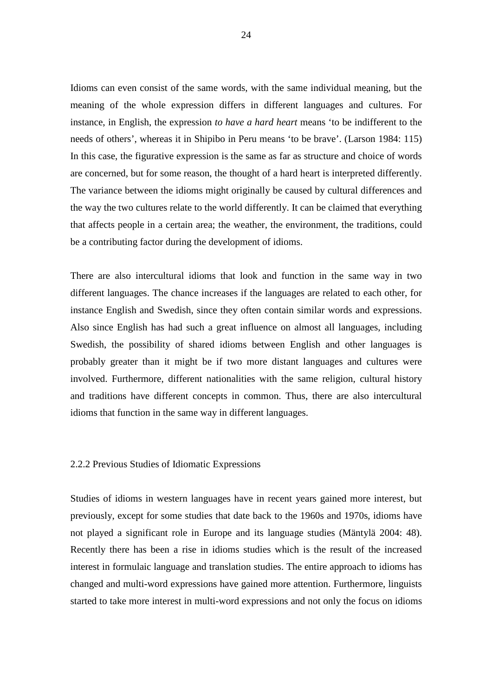Idioms can even consist of the same words, with the same individual meaning, but the meaning of the whole expression differs in different languages and cultures. For instance, in English, the expression *to have a hard heart* means 'to be indifferent to the needs of others', whereas it in Shipibo in Peru means 'to be brave'. (Larson 1984: 115) In this case, the figurative expression is the same as far as structure and choice of words are concerned, but for some reason, the thought of a hard heart is interpreted differently. The variance between the idioms might originally be caused by cultural differences and the way the two cultures relate to the world differently. It can be claimed that everything that affects people in a certain area; the weather, the environment, the traditions, could be a contributing factor during the development of idioms.

There are also intercultural idioms that look and function in the same way in two different languages. The chance increases if the languages are related to each other, for instance English and Swedish, since they often contain similar words and expressions. Also since English has had such a great influence on almost all languages, including Swedish, the possibility of shared idioms between English and other languages is probably greater than it might be if two more distant languages and cultures were involved. Furthermore, different nationalities with the same religion, cultural history and traditions have different concepts in common. Thus, there are also intercultural idioms that function in the same way in different languages.

#### 2.2.2 Previous Studies of Idiomatic Expressions

Studies of idioms in western languages have in recent years gained more interest, but previously, except for some studies that date back to the 1960s and 1970s, idioms have not played a significant role in Europe and its language studies (Mäntylä 2004: 48). Recently there has been a rise in idioms studies which is the result of the increased interest in formulaic language and translation studies. The entire approach to idioms has changed and multi-word expressions have gained more attention. Furthermore, linguists started to take more interest in multi-word expressions and not only the focus on idioms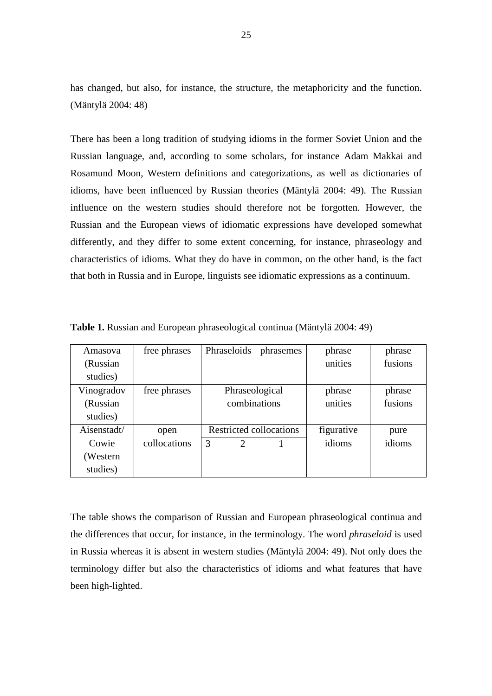has changed, but also, for instance, the structure, the metaphoricity and the function. (Mäntylä 2004: 48)

There has been a long tradition of studying idioms in the former Soviet Union and the Russian language, and, according to some scholars, for instance Adam Makkai and Rosamund Moon, Western definitions and categorizations, as well as dictionaries of idioms, have been influenced by Russian theories (Mäntylä 2004: 49). The Russian influence on the western studies should therefore not be forgotten. However, the Russian and the European views of idiomatic expressions have developed somewhat differently, and they differ to some extent concerning, for instance, phraseology and characteristics of idioms. What they do have in common, on the other hand, is the fact that both in Russia and in Europe, linguists see idiomatic expressions as a continuum.

| Amasova     | free phrases | Phraseloids             | phrasemes | phrase     | phrase  |
|-------------|--------------|-------------------------|-----------|------------|---------|
| (Russian)   |              |                         |           | unities    | fusions |
| studies)    |              |                         |           |            |         |
| Vinogradov  | free phrases | Phraseological          |           | phrase     | phrase  |
| (Russian    |              | combinations            |           | unities    | fusions |
| studies)    |              |                         |           |            |         |
| Aisenstadt/ | open         | Restricted collocations |           | figurative | pure    |
| Cowie       | collocations | 3<br>$\overline{2}$     |           | idioms     | idioms  |
| (Western)   |              |                         |           |            |         |
| studies)    |              |                         |           |            |         |

**Table 1.** Russian and European phraseological continua (Mäntylä 2004: 49)

The table shows the comparison of Russian and European phraseological continua and the differences that occur, for instance, in the terminology. The word *phraseloid* is used in Russia whereas it is absent in western studies (Mäntylä 2004: 49). Not only does the terminology differ but also the characteristics of idioms and what features that have been high-lighted.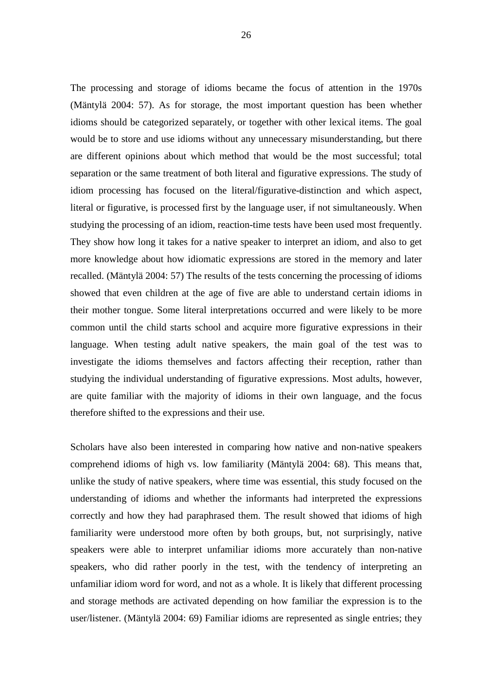The processing and storage of idioms became the focus of attention in the 1970s (Mäntylä 2004: 57). As for storage, the most important question has been whether idioms should be categorized separately, or together with other lexical items. The goal would be to store and use idioms without any unnecessary misunderstanding, but there are different opinions about which method that would be the most successful; total separation or the same treatment of both literal and figurative expressions. The study of idiom processing has focused on the literal/figurative-distinction and which aspect, literal or figurative, is processed first by the language user, if not simultaneously. When studying the processing of an idiom, reaction-time tests have been used most frequently. They show how long it takes for a native speaker to interpret an idiom, and also to get more knowledge about how idiomatic expressions are stored in the memory and later recalled. (Mäntylä 2004: 57) The results of the tests concerning the processing of idioms showed that even children at the age of five are able to understand certain idioms in their mother tongue. Some literal interpretations occurred and were likely to be more common until the child starts school and acquire more figurative expressions in their language. When testing adult native speakers, the main goal of the test was to investigate the idioms themselves and factors affecting their reception, rather than studying the individual understanding of figurative expressions. Most adults, however, are quite familiar with the majority of idioms in their own language, and the focus therefore shifted to the expressions and their use.

Scholars have also been interested in comparing how native and non-native speakers comprehend idioms of high vs. low familiarity (Mäntylä 2004: 68). This means that, unlike the study of native speakers, where time was essential, this study focused on the understanding of idioms and whether the informants had interpreted the expressions correctly and how they had paraphrased them. The result showed that idioms of high familiarity were understood more often by both groups, but, not surprisingly, native speakers were able to interpret unfamiliar idioms more accurately than non-native speakers, who did rather poorly in the test, with the tendency of interpreting an unfamiliar idiom word for word, and not as a whole. It is likely that different processing and storage methods are activated depending on how familiar the expression is to the user/listener. (Mäntylä 2004: 69) Familiar idioms are represented as single entries; they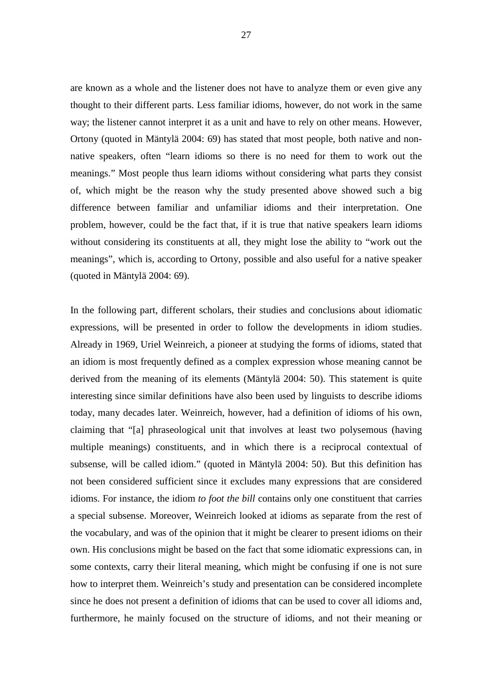are known as a whole and the listener does not have to analyze them or even give any thought to their different parts. Less familiar idioms, however, do not work in the same way; the listener cannot interpret it as a unit and have to rely on other means. However, Ortony (quoted in Mäntylä 2004: 69) has stated that most people, both native and nonnative speakers, often "learn idioms so there is no need for them to work out the meanings." Most people thus learn idioms without considering what parts they consist of, which might be the reason why the study presented above showed such a big difference between familiar and unfamiliar idioms and their interpretation. One problem, however, could be the fact that, if it is true that native speakers learn idioms without considering its constituents at all, they might lose the ability to "work out the meanings", which is, according to Ortony, possible and also useful for a native speaker (quoted in Mäntylä 2004: 69).

In the following part, different scholars, their studies and conclusions about idiomatic expressions, will be presented in order to follow the developments in idiom studies. Already in 1969, Uriel Weinreich, a pioneer at studying the forms of idioms, stated that an idiom is most frequently defined as a complex expression whose meaning cannot be derived from the meaning of its elements (Mäntylä 2004: 50). This statement is quite interesting since similar definitions have also been used by linguists to describe idioms today, many decades later. Weinreich, however, had a definition of idioms of his own, claiming that "[a] phraseological unit that involves at least two polysemous (having multiple meanings) constituents, and in which there is a reciprocal contextual of subsense, will be called idiom." (quoted in Mäntylä 2004: 50). But this definition has not been considered sufficient since it excludes many expressions that are considered idioms. For instance, the idiom *to foot the bill* contains only one constituent that carries a special subsense. Moreover, Weinreich looked at idioms as separate from the rest of the vocabulary, and was of the opinion that it might be clearer to present idioms on their own. His conclusions might be based on the fact that some idiomatic expressions can, in some contexts, carry their literal meaning, which might be confusing if one is not sure how to interpret them. Weinreich's study and presentation can be considered incomplete since he does not present a definition of idioms that can be used to cover all idioms and, furthermore, he mainly focused on the structure of idioms, and not their meaning or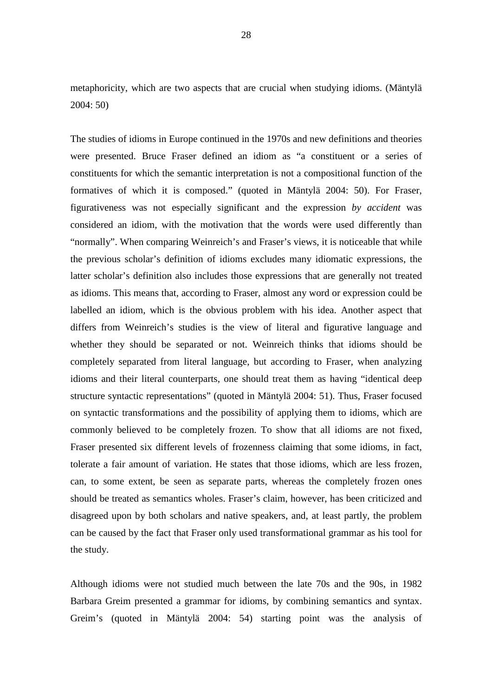metaphoricity, which are two aspects that are crucial when studying idioms. (Mäntylä 2004: 50)

The studies of idioms in Europe continued in the 1970s and new definitions and theories were presented. Bruce Fraser defined an idiom as "a constituent or a series of constituents for which the semantic interpretation is not a compositional function of the formatives of which it is composed." (quoted in Mäntylä 2004: 50). For Fraser, figurativeness was not especially significant and the expression *by accident* was considered an idiom, with the motivation that the words were used differently than "normally". When comparing Weinreich's and Fraser's views, it is noticeable that while the previous scholar's definition of idioms excludes many idiomatic expressions, the latter scholar's definition also includes those expressions that are generally not treated as idioms. This means that, according to Fraser, almost any word or expression could be labelled an idiom, which is the obvious problem with his idea. Another aspect that differs from Weinreich's studies is the view of literal and figurative language and whether they should be separated or not. Weinreich thinks that idioms should be completely separated from literal language, but according to Fraser, when analyzing idioms and their literal counterparts, one should treat them as having "identical deep structure syntactic representations" (quoted in Mäntylä 2004: 51). Thus, Fraser focused on syntactic transformations and the possibility of applying them to idioms, which are commonly believed to be completely frozen. To show that all idioms are not fixed, Fraser presented six different levels of frozenness claiming that some idioms, in fact, tolerate a fair amount of variation. He states that those idioms, which are less frozen, can, to some extent, be seen as separate parts, whereas the completely frozen ones should be treated as semantics wholes. Fraser's claim, however, has been criticized and disagreed upon by both scholars and native speakers, and, at least partly, the problem can be caused by the fact that Fraser only used transformational grammar as his tool for the study.

Although idioms were not studied much between the late 70s and the 90s, in 1982 Barbara Greim presented a grammar for idioms, by combining semantics and syntax. Greim's (quoted in Mäntylä 2004: 54) starting point was the analysis of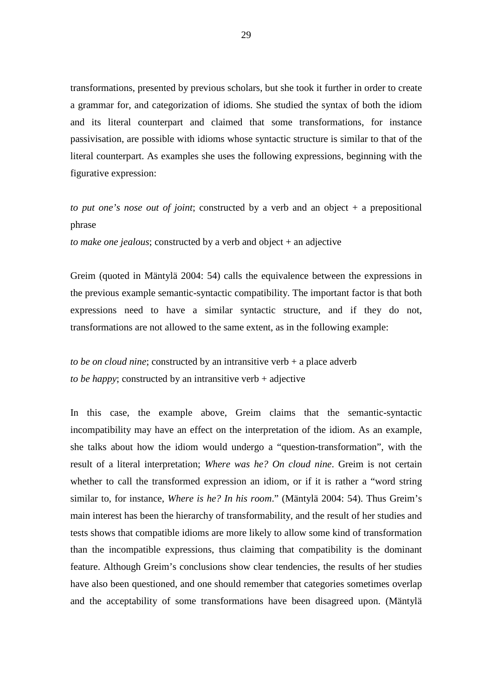transformations, presented by previous scholars, but she took it further in order to create a grammar for, and categorization of idioms. She studied the syntax of both the idiom and its literal counterpart and claimed that some transformations, for instance passivisation, are possible with idioms whose syntactic structure is similar to that of the literal counterpart. As examples she uses the following expressions, beginning with the figurative expression:

*to put one's nose out of joint*; constructed by a verb and an object + a prepositional phrase

*to make one jealous*; constructed by a verb and object + an adjective

Greim (quoted in Mäntylä 2004: 54) calls the equivalence between the expressions in the previous example semantic-syntactic compatibility. The important factor is that both expressions need to have a similar syntactic structure, and if they do not, transformations are not allowed to the same extent, as in the following example:

*to be on cloud nine*; constructed by an intransitive verb + a place adverb *to be happy*; constructed by an intransitive verb + adjective

In this case, the example above, Greim claims that the semantic-syntactic incompatibility may have an effect on the interpretation of the idiom. As an example, she talks about how the idiom would undergo a "question-transformation", with the result of a literal interpretation; *Where was he? On cloud nine*. Greim is not certain whether to call the transformed expression an idiom, or if it is rather a "word string similar to, for instance, *Where is he? In his room*." (Mäntylä 2004: 54). Thus Greim's main interest has been the hierarchy of transformability, and the result of her studies and tests shows that compatible idioms are more likely to allow some kind of transformation than the incompatible expressions, thus claiming that compatibility is the dominant feature. Although Greim's conclusions show clear tendencies, the results of her studies have also been questioned, and one should remember that categories sometimes overlap and the acceptability of some transformations have been disagreed upon. (Mäntylä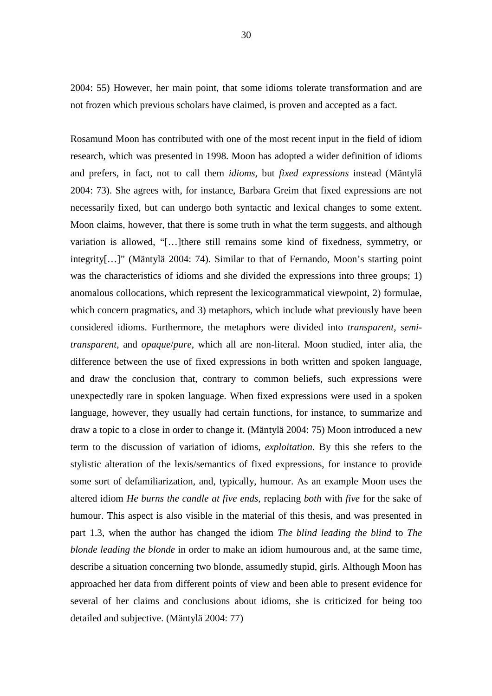2004: 55) However, her main point, that some idioms tolerate transformation and are not frozen which previous scholars have claimed, is proven and accepted as a fact.

Rosamund Moon has contributed with one of the most recent input in the field of idiom research, which was presented in 1998. Moon has adopted a wider definition of idioms and prefers, in fact, not to call them *idioms*, but *fixed expressions* instead (Mäntylä 2004: 73). She agrees with, for instance, Barbara Greim that fixed expressions are not necessarily fixed, but can undergo both syntactic and lexical changes to some extent. Moon claims, however, that there is some truth in what the term suggests, and although variation is allowed, "[…]there still remains some kind of fixedness, symmetry, or integrity[…]" (Mäntylä 2004: 74). Similar to that of Fernando, Moon's starting point was the characteristics of idioms and she divided the expressions into three groups; 1) anomalous collocations, which represent the lexicogrammatical viewpoint, 2) formulae, which concern pragmatics, and 3) metaphors, which include what previously have been considered idioms. Furthermore, the metaphors were divided into *transparent*, *semitransparent*, and *opaque*/*pure*, which all are non-literal. Moon studied, inter alia, the difference between the use of fixed expressions in both written and spoken language, and draw the conclusion that, contrary to common beliefs, such expressions were unexpectedly rare in spoken language. When fixed expressions were used in a spoken language, however, they usually had certain functions, for instance, to summarize and draw a topic to a close in order to change it. (Mäntylä 2004: 75) Moon introduced a new term to the discussion of variation of idioms, *exploitation*. By this she refers to the stylistic alteration of the lexis/semantics of fixed expressions, for instance to provide some sort of defamiliarization, and, typically, humour. As an example Moon uses the altered idiom *He burns the candle at five ends*, replacing *both* with *five* for the sake of humour. This aspect is also visible in the material of this thesis, and was presented in part 1.3, when the author has changed the idiom *The blind leading the blind* to *The blonde leading the blonde* in order to make an idiom humourous and, at the same time, describe a situation concerning two blonde, assumedly stupid, girls. Although Moon has approached her data from different points of view and been able to present evidence for several of her claims and conclusions about idioms, she is criticized for being too detailed and subjective. (Mäntylä 2004: 77)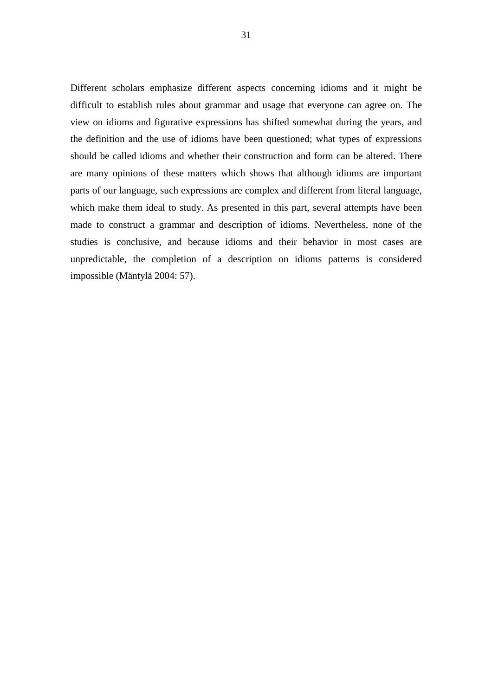Different scholars emphasize different aspects concerning idioms and it might be difficult to establish rules about grammar and usage that everyone can agree on. The view on idioms and figurative expressions has shifted somewhat during the years, and the definition and the use of idioms have been questioned; what types of expressions should be called idioms and whether their construction and form can be altered. There are many opinions of these matters which shows that although idioms are important parts of our language, such expressions are complex and different from literal language, which make them ideal to study. As presented in this part, several attempts have been made to construct a grammar and description of idioms. Nevertheless, none of the studies is conclusive, and because idioms and their behavior in most cases are unpredictable, the completion of a description on idioms patterns is considered impossible (Mäntylä 2004: 57).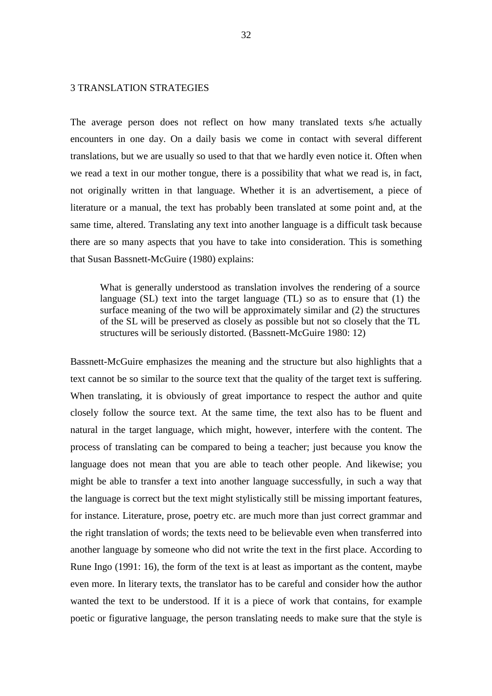# 3 TRANSLATION STRATEGIES

The average person does not reflect on how many translated texts s/he actually encounters in one day. On a daily basis we come in contact with several different translations, but we are usually so used to that that we hardly even notice it. Often when we read a text in our mother tongue, there is a possibility that what we read is, in fact, not originally written in that language. Whether it is an advertisement, a piece of literature or a manual, the text has probably been translated at some point and, at the same time, altered. Translating any text into another language is a difficult task because there are so many aspects that you have to take into consideration. This is something that Susan Bassnett-McGuire (1980) explains:

What is generally understood as translation involves the rendering of a source language (SL) text into the target language (TL) so as to ensure that (1) the surface meaning of the two will be approximately similar and (2) the structures of the SL will be preserved as closely as possible but not so closely that the TL structures will be seriously distorted. (Bassnett-McGuire 1980: 12)

Bassnett-McGuire emphasizes the meaning and the structure but also highlights that a text cannot be so similar to the source text that the quality of the target text is suffering. When translating, it is obviously of great importance to respect the author and quite closely follow the source text. At the same time, the text also has to be fluent and natural in the target language, which might, however, interfere with the content. The process of translating can be compared to being a teacher; just because you know the language does not mean that you are able to teach other people. And likewise; you might be able to transfer a text into another language successfully, in such a way that the language is correct but the text might stylistically still be missing important features, for instance. Literature, prose, poetry etc. are much more than just correct grammar and the right translation of words; the texts need to be believable even when transferred into another language by someone who did not write the text in the first place. According to Rune Ingo (1991: 16), the form of the text is at least as important as the content, maybe even more. In literary texts, the translator has to be careful and consider how the author wanted the text to be understood. If it is a piece of work that contains, for example poetic or figurative language, the person translating needs to make sure that the style is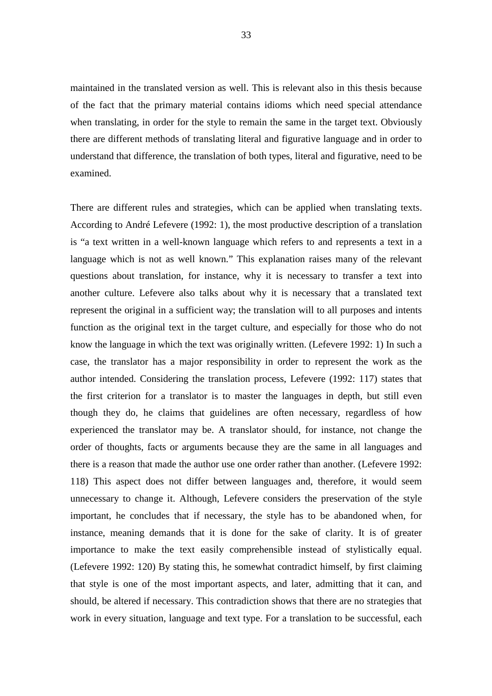maintained in the translated version as well. This is relevant also in this thesis because of the fact that the primary material contains idioms which need special attendance when translating, in order for the style to remain the same in the target text. Obviously there are different methods of translating literal and figurative language and in order to understand that difference, the translation of both types, literal and figurative, need to be examined.

There are different rules and strategies, which can be applied when translating texts. According to André Lefevere (1992: 1), the most productive description of a translation is "a text written in a well-known language which refers to and represents a text in a language which is not as well known." This explanation raises many of the relevant questions about translation, for instance, why it is necessary to transfer a text into another culture. Lefevere also talks about why it is necessary that a translated text represent the original in a sufficient way; the translation will to all purposes and intents function as the original text in the target culture, and especially for those who do not know the language in which the text was originally written. (Lefevere 1992: 1) In such a case, the translator has a major responsibility in order to represent the work as the author intended. Considering the translation process, Lefevere (1992: 117) states that the first criterion for a translator is to master the languages in depth, but still even though they do, he claims that guidelines are often necessary, regardless of how experienced the translator may be. A translator should, for instance, not change the order of thoughts, facts or arguments because they are the same in all languages and there is a reason that made the author use one order rather than another. (Lefevere 1992: 118) This aspect does not differ between languages and, therefore, it would seem unnecessary to change it. Although, Lefevere considers the preservation of the style important, he concludes that if necessary, the style has to be abandoned when, for instance, meaning demands that it is done for the sake of clarity. It is of greater importance to make the text easily comprehensible instead of stylistically equal. (Lefevere 1992: 120) By stating this, he somewhat contradict himself, by first claiming that style is one of the most important aspects, and later, admitting that it can, and should, be altered if necessary. This contradiction shows that there are no strategies that work in every situation, language and text type. For a translation to be successful, each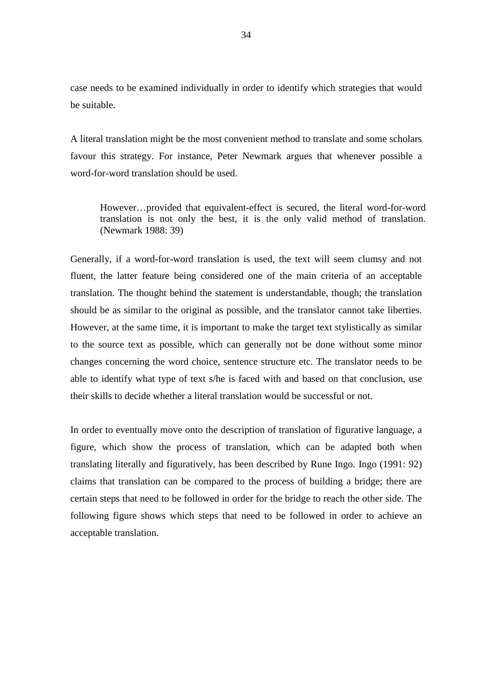case needs to be examined individually in order to identify which strategies that would be suitable.

A literal translation might be the most convenient method to translate and some scholars favour this strategy. For instance, Peter Newmark argues that whenever possible a word-for-word translation should be used.

However…provided that equivalent-effect is secured, the literal word-for-word translation is not only the best, it is the only valid method of translation. (Newmark 1988: 39)

Generally, if a word-for-word translation is used, the text will seem clumsy and not fluent, the latter feature being considered one of the main criteria of an acceptable translation. The thought behind the statement is understandable, though; the translation should be as similar to the original as possible, and the translator cannot take liberties. However, at the same time, it is important to make the target text stylistically as similar to the source text as possible, which can generally not be done without some minor changes concerning the word choice, sentence structure etc. The translator needs to be able to identify what type of text s/he is faced with and based on that conclusion, use their skills to decide whether a literal translation would be successful or not.

In order to eventually move onto the description of translation of figurative language, a figure, which show the process of translation, which can be adapted both when translating literally and figuratively, has been described by Rune Ingo. Ingo (1991: 92) claims that translation can be compared to the process of building a bridge; there are certain steps that need to be followed in order for the bridge to reach the other side. The following figure shows which steps that need to be followed in order to achieve an acceptable translation.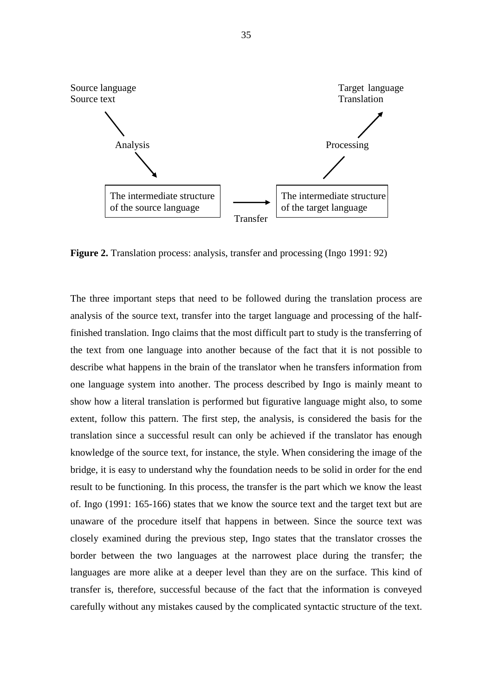

**Figure 2.** Translation process: analysis, transfer and processing (Ingo 1991: 92)

The three important steps that need to be followed during the translation process are analysis of the source text, transfer into the target language and processing of the halffinished translation. Ingo claims that the most difficult part to study is the transferring of the text from one language into another because of the fact that it is not possible to describe what happens in the brain of the translator when he transfers information from one language system into another. The process described by Ingo is mainly meant to show how a literal translation is performed but figurative language might also, to some extent, follow this pattern. The first step, the analysis, is considered the basis for the translation since a successful result can only be achieved if the translator has enough knowledge of the source text, for instance, the style. When considering the image of the bridge, it is easy to understand why the foundation needs to be solid in order for the end result to be functioning. In this process, the transfer is the part which we know the least of. Ingo (1991: 165-166) states that we know the source text and the target text but are unaware of the procedure itself that happens in between. Since the source text was closely examined during the previous step, Ingo states that the translator crosses the border between the two languages at the narrowest place during the transfer; the languages are more alike at a deeper level than they are on the surface. This kind of transfer is, therefore, successful because of the fact that the information is conveyed carefully without any mistakes caused by the complicated syntactic structure of the text.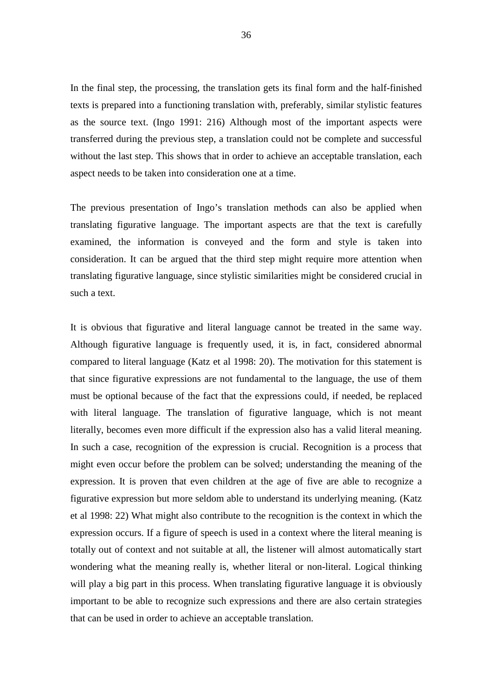In the final step, the processing, the translation gets its final form and the half-finished texts is prepared into a functioning translation with, preferably, similar stylistic features as the source text. (Ingo 1991: 216) Although most of the important aspects were transferred during the previous step, a translation could not be complete and successful without the last step. This shows that in order to achieve an acceptable translation, each aspect needs to be taken into consideration one at a time.

The previous presentation of Ingo's translation methods can also be applied when translating figurative language. The important aspects are that the text is carefully examined, the information is conveyed and the form and style is taken into consideration. It can be argued that the third step might require more attention when translating figurative language, since stylistic similarities might be considered crucial in such a text.

It is obvious that figurative and literal language cannot be treated in the same way. Although figurative language is frequently used, it is, in fact, considered abnormal compared to literal language (Katz et al 1998: 20). The motivation for this statement is that since figurative expressions are not fundamental to the language, the use of them must be optional because of the fact that the expressions could, if needed, be replaced with literal language. The translation of figurative language, which is not meant literally, becomes even more difficult if the expression also has a valid literal meaning. In such a case, recognition of the expression is crucial. Recognition is a process that might even occur before the problem can be solved; understanding the meaning of the expression. It is proven that even children at the age of five are able to recognize a figurative expression but more seldom able to understand its underlying meaning. (Katz et al 1998: 22) What might also contribute to the recognition is the context in which the expression occurs. If a figure of speech is used in a context where the literal meaning is totally out of context and not suitable at all, the listener will almost automatically start wondering what the meaning really is, whether literal or non-literal. Logical thinking will play a big part in this process. When translating figurative language it is obviously important to be able to recognize such expressions and there are also certain strategies that can be used in order to achieve an acceptable translation.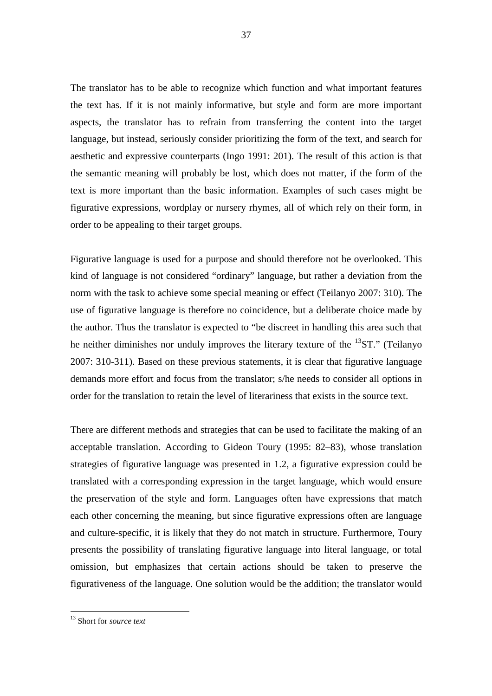The translator has to be able to recognize which function and what important features the text has. If it is not mainly informative, but style and form are more important aspects, the translator has to refrain from transferring the content into the target language, but instead, seriously consider prioritizing the form of the text, and search for aesthetic and expressive counterparts (Ingo 1991: 201). The result of this action is that the semantic meaning will probably be lost, which does not matter, if the form of the text is more important than the basic information. Examples of such cases might be figurative expressions, wordplay or nursery rhymes, all of which rely on their form, in order to be appealing to their target groups.

Figurative language is used for a purpose and should therefore not be overlooked. This kind of language is not considered "ordinary" language, but rather a deviation from the norm with the task to achieve some special meaning or effect (Teilanyo 2007: 310). The use of figurative language is therefore no coincidence, but a deliberate choice made by the author. Thus the translator is expected to "be discreet in handling this area such that he neither diminishes nor unduly improves the literary texture of the  $^{13}ST$ ." (Teilanyo 2007: 310-311). Based on these previous statements, it is clear that figurative language demands more effort and focus from the translator; s/he needs to consider all options in order for the translation to retain the level of literariness that exists in the source text.

There are different methods and strategies that can be used to facilitate the making of an acceptable translation. According to Gideon Toury (1995: 82–83), whose translation strategies of figurative language was presented in 1.2, a figurative expression could be translated with a corresponding expression in the target language, which would ensure the preservation of the style and form. Languages often have expressions that match each other concerning the meaning, but since figurative expressions often are language and culture-specific, it is likely that they do not match in structure. Furthermore, Toury presents the possibility of translating figurative language into literal language, or total omission, but emphasizes that certain actions should be taken to preserve the figurativeness of the language. One solution would be the addition; the translator would

<sup>13</sup> Short for *source text*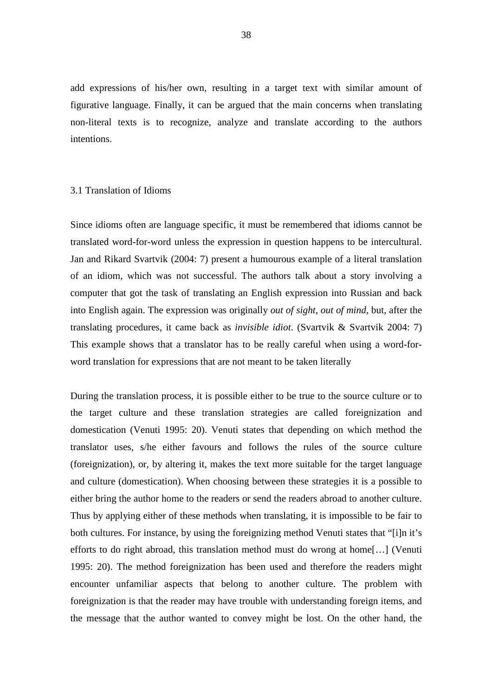add expressions of his/her own, resulting in a target text with similar amount of figurative language. Finally, it can be argued that the main concerns when translating non-literal texts is to recognize, analyze and translate according to the authors intentions.

## 3.1 Translation of Idioms

Since idioms often are language specific, it must be remembered that idioms cannot be translated word-for-word unless the expression in question happens to be intercultural. Jan and Rikard Svartvik (2004: 7) present a humourous example of a literal translation of an idiom, which was not successful. The authors talk about a story involving a computer that got the task of translating an English expression into Russian and back into English again. The expression was originally *out of sight, out of mind*, but, after the translating procedures, it came back as *invisible idiot*. (Svartvik & Svartvik 2004: 7) This example shows that a translator has to be really careful when using a word-forword translation for expressions that are not meant to be taken literally

During the translation process, it is possible either to be true to the source culture or to the target culture and these translation strategies are called foreignization and domestication (Venuti 1995: 20). Venuti states that depending on which method the translator uses, s/he either favours and follows the rules of the source culture (foreignization), or, by altering it, makes the text more suitable for the target language and culture (domestication). When choosing between these strategies it is a possible to either bring the author home to the readers or send the readers abroad to another culture. Thus by applying either of these methods when translating, it is impossible to be fair to both cultures. For instance, by using the foreignizing method Venuti states that "[i]n it's efforts to do right abroad, this translation method must do wrong at home[…] (Venuti 1995: 20). The method foreignization has been used and therefore the readers might encounter unfamiliar aspects that belong to another culture. The problem with foreignization is that the reader may have trouble with understanding foreign items, and the message that the author wanted to convey might be lost. On the other hand, the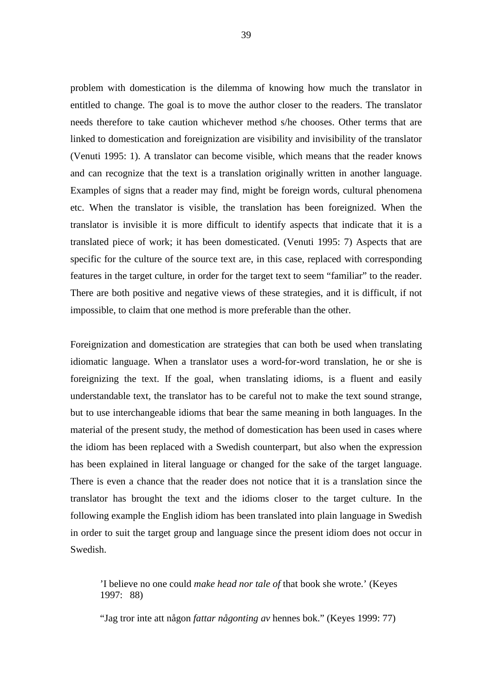problem with domestication is the dilemma of knowing how much the translator in entitled to change. The goal is to move the author closer to the readers. The translator needs therefore to take caution whichever method s/he chooses. Other terms that are linked to domestication and foreignization are visibility and invisibility of the translator (Venuti 1995: 1). A translator can become visible, which means that the reader knows and can recognize that the text is a translation originally written in another language. Examples of signs that a reader may find, might be foreign words, cultural phenomena etc. When the translator is visible, the translation has been foreignized. When the translator is invisible it is more difficult to identify aspects that indicate that it is a translated piece of work; it has been domesticated. (Venuti 1995: 7) Aspects that are specific for the culture of the source text are, in this case, replaced with corresponding features in the target culture, in order for the target text to seem "familiar" to the reader. There are both positive and negative views of these strategies, and it is difficult, if not impossible, to claim that one method is more preferable than the other.

Foreignization and domestication are strategies that can both be used when translating idiomatic language. When a translator uses a word-for-word translation, he or she is foreignizing the text. If the goal, when translating idioms, is a fluent and easily understandable text, the translator has to be careful not to make the text sound strange, but to use interchangeable idioms that bear the same meaning in both languages. In the material of the present study, the method of domestication has been used in cases where the idiom has been replaced with a Swedish counterpart, but also when the expression has been explained in literal language or changed for the sake of the target language. There is even a chance that the reader does not notice that it is a translation since the translator has brought the text and the idioms closer to the target culture. In the following example the English idiom has been translated into plain language in Swedish in order to suit the target group and language since the present idiom does not occur in Swedish.

 'I believe no one could *make head nor tale of* that book she wrote.' (Keyes 1997: 88)

"Jag tror inte att någon *fattar någonting av* hennes bok." (Keyes 1999: 77)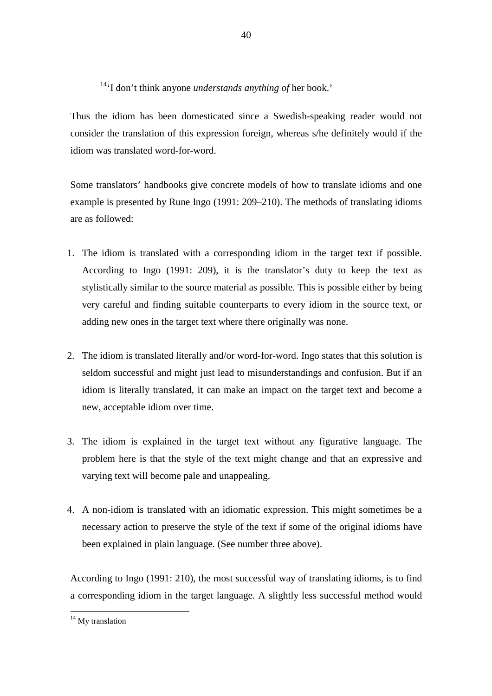<sup>14</sup>'I don't think anyone *understands anything of* her book.'

Thus the idiom has been domesticated since a Swedish-speaking reader would not consider the translation of this expression foreign, whereas s/he definitely would if the idiom was translated word-for-word.

Some translators' handbooks give concrete models of how to translate idioms and one example is presented by Rune Ingo (1991: 209–210). The methods of translating idioms are as followed:

- 1. The idiom is translated with a corresponding idiom in the target text if possible. According to Ingo (1991: 209), it is the translator's duty to keep the text as stylistically similar to the source material as possible. This is possible either by being very careful and finding suitable counterparts to every idiom in the source text, or adding new ones in the target text where there originally was none.
- 2. The idiom is translated literally and/or word-for-word. Ingo states that this solution is seldom successful and might just lead to misunderstandings and confusion. But if an idiom is literally translated, it can make an impact on the target text and become a new, acceptable idiom over time.
- 3. The idiom is explained in the target text without any figurative language. The problem here is that the style of the text might change and that an expressive and varying text will become pale and unappealing.
- 4. A non-idiom is translated with an idiomatic expression. This might sometimes be a necessary action to preserve the style of the text if some of the original idioms have been explained in plain language. (See number three above).

According to Ingo (1991: 210), the most successful way of translating idioms, is to find a corresponding idiom in the target language. A slightly less successful method would

<sup>&</sup>lt;sup>14</sup> My translation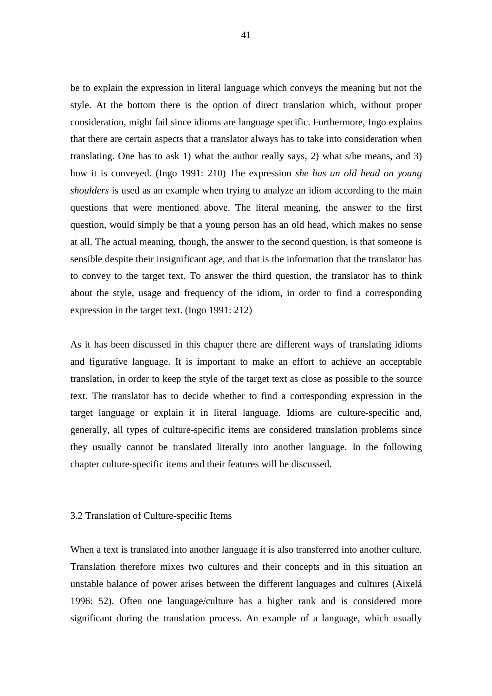be to explain the expression in literal language which conveys the meaning but not the style. At the bottom there is the option of direct translation which, without proper consideration, might fail since idioms are language specific. Furthermore, Ingo explains that there are certain aspects that a translator always has to take into consideration when translating. One has to ask 1) what the author really says, 2) what s/he means, and 3) how it is conveyed. (Ingo 1991: 210) The expression *she has an old head on young shoulders* is used as an example when trying to analyze an idiom according to the main questions that were mentioned above. The literal meaning, the answer to the first question, would simply be that a young person has an old head, which makes no sense at all. The actual meaning, though, the answer to the second question, is that someone is sensible despite their insignificant age, and that is the information that the translator has to convey to the target text. To answer the third question, the translator has to think about the style, usage and frequency of the idiom, in order to find a corresponding expression in the target text. (Ingo 1991: 212)

As it has been discussed in this chapter there are different ways of translating idioms and figurative language. It is important to make an effort to achieve an acceptable translation, in order to keep the style of the target text as close as possible to the source text. The translator has to decide whether to find a corresponding expression in the target language or explain it in literal language. Idioms are culture-specific and, generally, all types of culture-specific items are considered translation problems since they usually cannot be translated literally into another language. In the following chapter culture-specific items and their features will be discussed.

## 3.2 Translation of Culture-specific Items

When a text is translated into another language it is also transferred into another culture. Translation therefore mixes two cultures and their concepts and in this situation an unstable balance of power arises between the different languages and cultures (Aixelá 1996: 52). Often one language/culture has a higher rank and is considered more significant during the translation process. An example of a language, which usually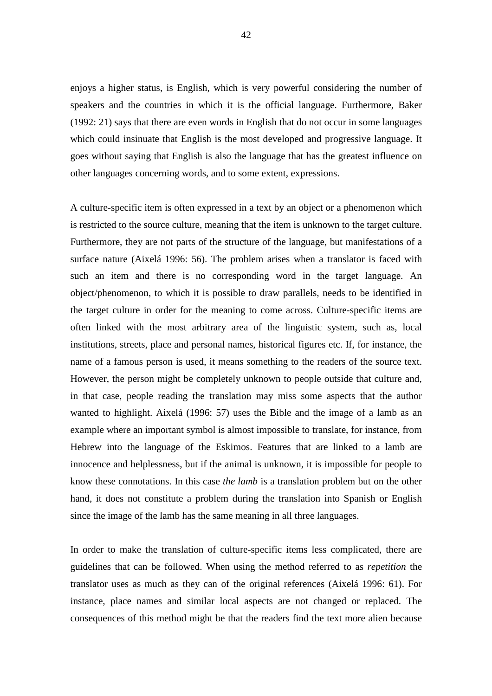enjoys a higher status, is English, which is very powerful considering the number of speakers and the countries in which it is the official language. Furthermore, Baker (1992: 21) says that there are even words in English that do not occur in some languages which could insinuate that English is the most developed and progressive language. It goes without saying that English is also the language that has the greatest influence on other languages concerning words, and to some extent, expressions.

A culture-specific item is often expressed in a text by an object or a phenomenon which is restricted to the source culture, meaning that the item is unknown to the target culture. Furthermore, they are not parts of the structure of the language, but manifestations of a surface nature (Aixelá 1996: 56). The problem arises when a translator is faced with such an item and there is no corresponding word in the target language. An object/phenomenon, to which it is possible to draw parallels, needs to be identified in the target culture in order for the meaning to come across. Culture-specific items are often linked with the most arbitrary area of the linguistic system, such as, local institutions, streets, place and personal names, historical figures etc. If, for instance, the name of a famous person is used, it means something to the readers of the source text. However, the person might be completely unknown to people outside that culture and, in that case, people reading the translation may miss some aspects that the author wanted to highlight. Aixelá (1996: 57) uses the Bible and the image of a lamb as an example where an important symbol is almost impossible to translate, for instance, from Hebrew into the language of the Eskimos. Features that are linked to a lamb are innocence and helplessness, but if the animal is unknown, it is impossible for people to know these connotations. In this case *the lamb* is a translation problem but on the other hand, it does not constitute a problem during the translation into Spanish or English since the image of the lamb has the same meaning in all three languages.

In order to make the translation of culture-specific items less complicated, there are guidelines that can be followed. When using the method referred to as *repetition* the translator uses as much as they can of the original references (Aixelá 1996: 61). For instance, place names and similar local aspects are not changed or replaced. The consequences of this method might be that the readers find the text more alien because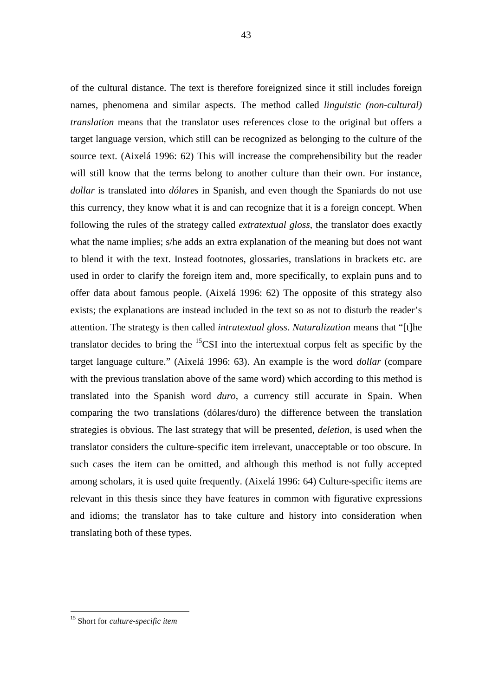43

of the cultural distance. The text is therefore foreignized since it still includes foreign names, phenomena and similar aspects. The method called *linguistic (non-cultural) translation* means that the translator uses references close to the original but offers a target language version, which still can be recognized as belonging to the culture of the source text. (Aixelá 1996: 62) This will increase the comprehensibility but the reader will still know that the terms belong to another culture than their own. For instance, *dollar* is translated into *dólares* in Spanish, and even though the Spaniards do not use this currency, they know what it is and can recognize that it is a foreign concept. When following the rules of the strategy called *extratextual gloss*, the translator does exactly what the name implies; s/he adds an extra explanation of the meaning but does not want to blend it with the text. Instead footnotes, glossaries, translations in brackets etc. are used in order to clarify the foreign item and, more specifically, to explain puns and to offer data about famous people. (Aixelá 1996: 62) The opposite of this strategy also exists; the explanations are instead included in the text so as not to disturb the reader's attention. The strategy is then called *intratextual gloss*. *Naturalization* means that "[t]he translator decides to bring the  ${}^{15}$ CSI into the intertextual corpus felt as specific by the target language culture." (Aixelá 1996: 63). An example is the word *dollar* (compare with the previous translation above of the same word) which according to this method is translated into the Spanish word *duro*, a currency still accurate in Spain. When comparing the two translations (dólares/duro) the difference between the translation strategies is obvious. The last strategy that will be presented, *deletion*, is used when the translator considers the culture-specific item irrelevant, unacceptable or too obscure. In such cases the item can be omitted, and although this method is not fully accepted among scholars, it is used quite frequently. (Aixelá 1996: 64) Culture-specific items are relevant in this thesis since they have features in common with figurative expressions and idioms; the translator has to take culture and history into consideration when translating both of these types.

 $\overline{a}$ <sup>15</sup> Short for *culture-specific item*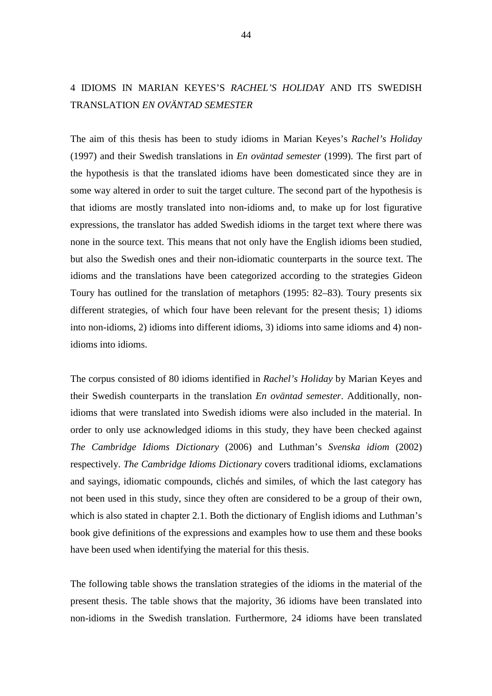# 4 IDIOMS IN MARIAN KEYES'S *RACHEL'S HOLIDAY* AND ITS SWEDISH TRANSLATION *EN OVÄNTAD SEMESTER*

The aim of this thesis has been to study idioms in Marian Keyes's *Rachel's Holiday*  (1997) and their Swedish translations in *En oväntad semester* (1999). The first part of the hypothesis is that the translated idioms have been domesticated since they are in some way altered in order to suit the target culture. The second part of the hypothesis is that idioms are mostly translated into non-idioms and, to make up for lost figurative expressions, the translator has added Swedish idioms in the target text where there was none in the source text. This means that not only have the English idioms been studied, but also the Swedish ones and their non-idiomatic counterparts in the source text. The idioms and the translations have been categorized according to the strategies Gideon Toury has outlined for the translation of metaphors (1995: 82–83). Toury presents six different strategies, of which four have been relevant for the present thesis; 1) idioms into non-idioms, 2) idioms into different idioms, 3) idioms into same idioms and 4) nonidioms into idioms.

The corpus consisted of 80 idioms identified in *Rachel's Holiday* by Marian Keyes and their Swedish counterparts in the translation *En oväntad semester*. Additionally, nonidioms that were translated into Swedish idioms were also included in the material. In order to only use acknowledged idioms in this study, they have been checked against *The Cambridge Idioms Dictionary* (2006) and Luthman's *Svenska idiom* (2002) respectively. *The Cambridge Idioms Dictionary* covers traditional idioms, exclamations and sayings, idiomatic compounds, clichés and similes, of which the last category has not been used in this study, since they often are considered to be a group of their own, which is also stated in chapter 2.1. Both the dictionary of English idioms and Luthman's book give definitions of the expressions and examples how to use them and these books have been used when identifying the material for this thesis.

The following table shows the translation strategies of the idioms in the material of the present thesis. The table shows that the majority, 36 idioms have been translated into non-idioms in the Swedish translation. Furthermore, 24 idioms have been translated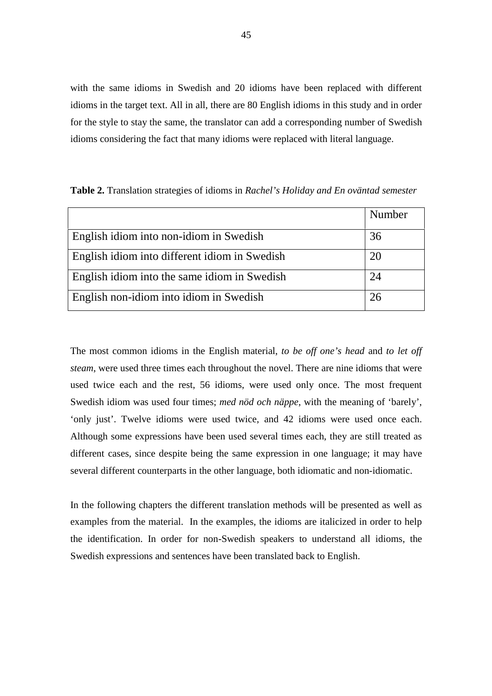with the same idioms in Swedish and 20 idioms have been replaced with different idioms in the target text. All in all, there are 80 English idioms in this study and in order for the style to stay the same, the translator can add a corresponding number of Swedish idioms considering the fact that many idioms were replaced with literal language.

|                                               | Number |
|-----------------------------------------------|--------|
| English idiom into non-idiom in Swedish       | 36     |
| English idiom into different idiom in Swedish | 20     |
| English idiom into the same idiom in Swedish  | 24     |
| English non-idiom into idiom in Swedish       | 26     |

**Table 2.** Translation strategies of idioms in *Rachel's Holiday and En oväntad semester*

The most common idioms in the English material, *to be off one's head* and *to let off steam*, were used three times each throughout the novel. There are nine idioms that were used twice each and the rest, 56 idioms, were used only once. The most frequent Swedish idiom was used four times; *med nöd och näppe*, with the meaning of 'barely', 'only just'. Twelve idioms were used twice, and 42 idioms were used once each. Although some expressions have been used several times each, they are still treated as different cases, since despite being the same expression in one language; it may have several different counterparts in the other language, both idiomatic and non-idiomatic.

In the following chapters the different translation methods will be presented as well as examples from the material. In the examples, the idioms are italicized in order to help the identification. In order for non-Swedish speakers to understand all idioms, the Swedish expressions and sentences have been translated back to English.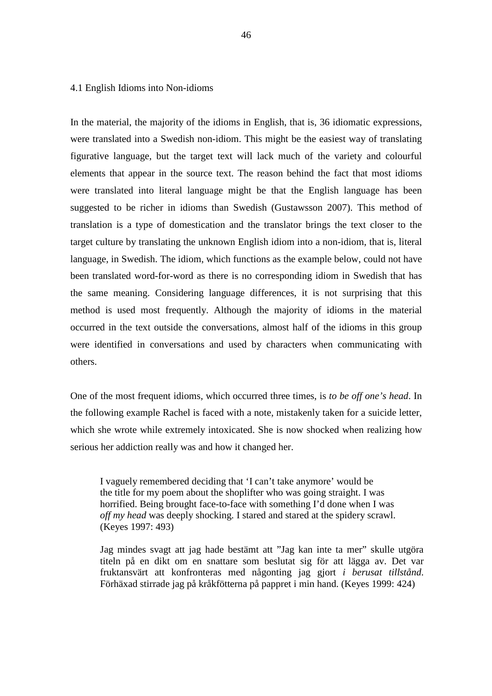## 4.1 English Idioms into Non-idioms

In the material, the majority of the idioms in English, that is, 36 idiomatic expressions, were translated into a Swedish non-idiom. This might be the easiest way of translating figurative language, but the target text will lack much of the variety and colourful elements that appear in the source text. The reason behind the fact that most idioms were translated into literal language might be that the English language has been suggested to be richer in idioms than Swedish (Gustawsson 2007). This method of translation is a type of domestication and the translator brings the text closer to the target culture by translating the unknown English idiom into a non-idiom, that is, literal language, in Swedish. The idiom, which functions as the example below, could not have been translated word-for-word as there is no corresponding idiom in Swedish that has the same meaning. Considering language differences, it is not surprising that this method is used most frequently. Although the majority of idioms in the material occurred in the text outside the conversations, almost half of the idioms in this group were identified in conversations and used by characters when communicating with others.

One of the most frequent idioms, which occurred three times, is *to be off one's head*. In the following example Rachel is faced with a note, mistakenly taken for a suicide letter, which she wrote while extremely intoxicated. She is now shocked when realizing how serious her addiction really was and how it changed her.

 I vaguely remembered deciding that 'I can't take anymore' would be the title for my poem about the shoplifter who was going straight. I was horrified. Being brought face-to-face with something I'd done when I was *off my head* was deeply shocking. I stared and stared at the spidery scrawl. (Keyes 1997: 493)

 Jag mindes svagt att jag hade bestämt att "Jag kan inte ta mer" skulle utgöra titeln på en dikt om en snattare som beslutat sig för att lägga av. Det var fruktansvärt att konfronteras med någonting jag gjort *i berusat tillstånd*. Förhäxad stirrade jag på kråkfötterna på pappret i min hand. (Keyes 1999: 424)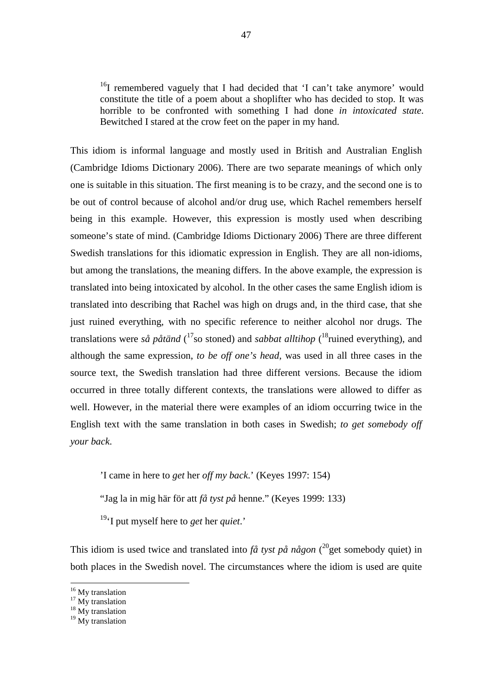<sup>16</sup>I remembered vaguely that I had decided that 'I can't take anymore' would constitute the title of a poem about a shoplifter who has decided to stop. It was horrible to be confronted with something I had done *in intoxicated state*. Bewitched I stared at the crow feet on the paper in my hand.

This idiom is informal language and mostly used in British and Australian English (Cambridge Idioms Dictionary 2006). There are two separate meanings of which only one is suitable in this situation. The first meaning is to be crazy, and the second one is to be out of control because of alcohol and/or drug use, which Rachel remembers herself being in this example. However, this expression is mostly used when describing someone's state of mind. (Cambridge Idioms Dictionary 2006) There are three different Swedish translations for this idiomatic expression in English. They are all non-idioms, but among the translations, the meaning differs. In the above example, the expression is translated into being intoxicated by alcohol. In the other cases the same English idiom is translated into describing that Rachel was high on drugs and, in the third case, that she just ruined everything, with no specific reference to neither alcohol nor drugs. The translations were *så påtänd* (<sup>17</sup>so stoned) and *sabbat alltihop* (<sup>18</sup>ruined everything), and although the same expression, *to be off one's head*, was used in all three cases in the source text, the Swedish translation had three different versions. Because the idiom occurred in three totally different contexts, the translations were allowed to differ as well. However, in the material there were examples of an idiom occurring twice in the English text with the same translation in both cases in Swedish; *to get somebody off your back*.

'I came in here to *get* her *off my back*.' (Keyes 1997: 154)

"Jag la in mig här för att *få tyst på* henne." (Keyes 1999: 133)

<sup>19</sup>'I put myself here to *get* her *quiet*.'

This idiom is used twice and translated into  $f\hat{a}$  tyst på någon  $(^{20}$ get somebody quiet) in both places in the Swedish novel. The circumstances where the idiom is used are quite

<sup>&</sup>lt;sup>16</sup> My translation

 $17$  My translation

<sup>&</sup>lt;sup>18</sup> My translation

<sup>&</sup>lt;sup>19</sup> My translation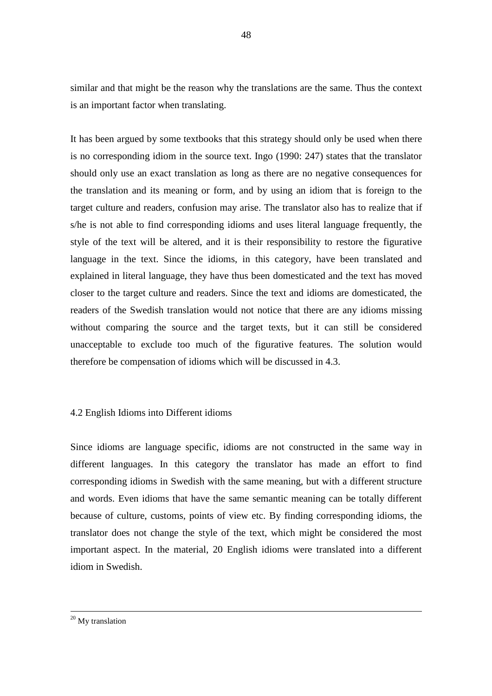similar and that might be the reason why the translations are the same. Thus the context is an important factor when translating.

It has been argued by some textbooks that this strategy should only be used when there is no corresponding idiom in the source text. Ingo (1990: 247) states that the translator should only use an exact translation as long as there are no negative consequences for the translation and its meaning or form, and by using an idiom that is foreign to the target culture and readers, confusion may arise. The translator also has to realize that if s/he is not able to find corresponding idioms and uses literal language frequently, the style of the text will be altered, and it is their responsibility to restore the figurative language in the text. Since the idioms, in this category, have been translated and explained in literal language, they have thus been domesticated and the text has moved closer to the target culture and readers. Since the text and idioms are domesticated, the readers of the Swedish translation would not notice that there are any idioms missing without comparing the source and the target texts, but it can still be considered unacceptable to exclude too much of the figurative features. The solution would therefore be compensation of idioms which will be discussed in 4.3.

# 4.2 English Idioms into Different idioms

Since idioms are language specific, idioms are not constructed in the same way in different languages. In this category the translator has made an effort to find corresponding idioms in Swedish with the same meaning, but with a different structure and words. Even idioms that have the same semantic meaning can be totally different because of culture, customs, points of view etc. By finding corresponding idioms, the translator does not change the style of the text, which might be considered the most important aspect. In the material, 20 English idioms were translated into a different idiom in Swedish.

<u>.</u>

<sup>&</sup>lt;sup>20</sup> My translation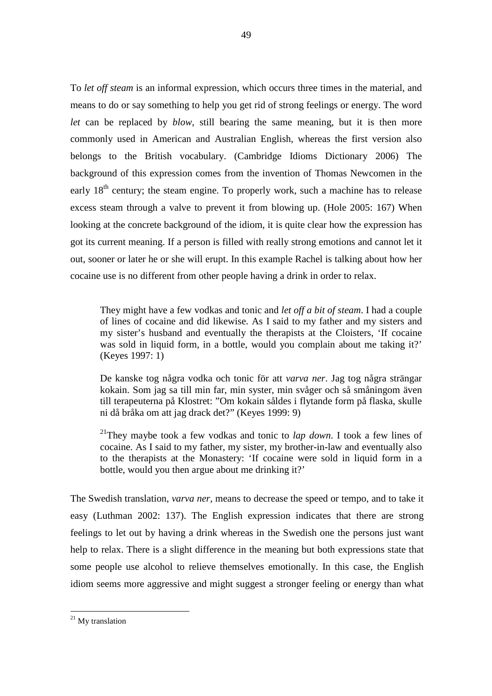To *let off steam* is an informal expression, which occurs three times in the material, and means to do or say something to help you get rid of strong feelings or energy. The word *let* can be replaced by *blow*, still bearing the same meaning, but it is then more commonly used in American and Australian English, whereas the first version also belongs to the British vocabulary. (Cambridge Idioms Dictionary 2006) The background of this expression comes from the invention of Thomas Newcomen in the early  $18<sup>th</sup>$  century; the steam engine. To properly work, such a machine has to release excess steam through a valve to prevent it from blowing up. (Hole 2005: 167) When looking at the concrete background of the idiom, it is quite clear how the expression has got its current meaning. If a person is filled with really strong emotions and cannot let it out, sooner or later he or she will erupt. In this example Rachel is talking about how her cocaine use is no different from other people having a drink in order to relax.

49

 They might have a few vodkas and tonic and *let off a bit of steam*. I had a couple of lines of cocaine and did likewise. As I said to my father and my sisters and my sister's husband and eventually the therapists at the Cloisters, 'If cocaine was sold in liquid form, in a bottle, would you complain about me taking it?' (Keyes 1997: 1)

 De kanske tog några vodka och tonic för att *varva ner*. Jag tog några strängar kokain. Som jag sa till min far, min syster, min svåger och så småningom även till terapeuterna på Klostret: "Om kokain såldes i flytande form på flaska, skulle ni då bråka om att jag drack det?" (Keyes 1999: 9)

<sup>21</sup>They maybe took a few vodkas and tonic to *lap down*. I took a few lines of cocaine. As I said to my father, my sister, my brother-in-law and eventually also to the therapists at the Monastery: 'If cocaine were sold in liquid form in a bottle, would you then argue about me drinking it?'

The Swedish translation, *varva ner*, means to decrease the speed or tempo, and to take it easy (Luthman 2002: 137). The English expression indicates that there are strong feelings to let out by having a drink whereas in the Swedish one the persons just want help to relax. There is a slight difference in the meaning but both expressions state that some people use alcohol to relieve themselves emotionally. In this case, the English idiom seems more aggressive and might suggest a stronger feeling or energy than what

<sup>&</sup>lt;sup>21</sup> My translation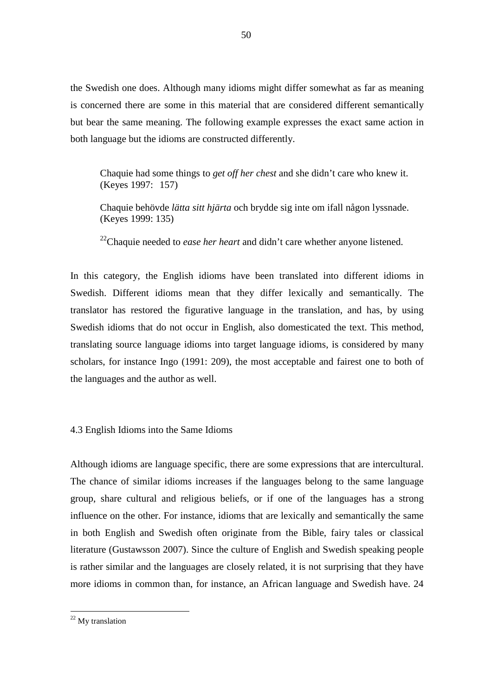the Swedish one does. Although many idioms might differ somewhat as far as meaning is concerned there are some in this material that are considered different semantically but bear the same meaning. The following example expresses the exact same action in both language but the idioms are constructed differently.

50

 Chaquie had some things to *get off her chest* and she didn't care who knew it. (Keyes 1997: 157)

 Chaquie behövde *lätta sitt hjärta* och brydde sig inte om ifall någon lyssnade. (Keyes 1999: 135)

<sup>22</sup>Chaquie needed to *ease her heart* and didn't care whether anyone listened.

In this category, the English idioms have been translated into different idioms in Swedish. Different idioms mean that they differ lexically and semantically. The translator has restored the figurative language in the translation, and has, by using Swedish idioms that do not occur in English, also domesticated the text. This method, translating source language idioms into target language idioms, is considered by many scholars, for instance Ingo (1991: 209), the most acceptable and fairest one to both of the languages and the author as well.

# 4.3 English Idioms into the Same Idioms

Although idioms are language specific, there are some expressions that are intercultural. The chance of similar idioms increases if the languages belong to the same language group, share cultural and religious beliefs, or if one of the languages has a strong influence on the other. For instance, idioms that are lexically and semantically the same in both English and Swedish often originate from the Bible, fairy tales or classical literature (Gustawsson 2007). Since the culture of English and Swedish speaking people is rather similar and the languages are closely related, it is not surprising that they have more idioms in common than, for instance, an African language and Swedish have. 24

<sup>&</sup>lt;sup>22</sup> My translation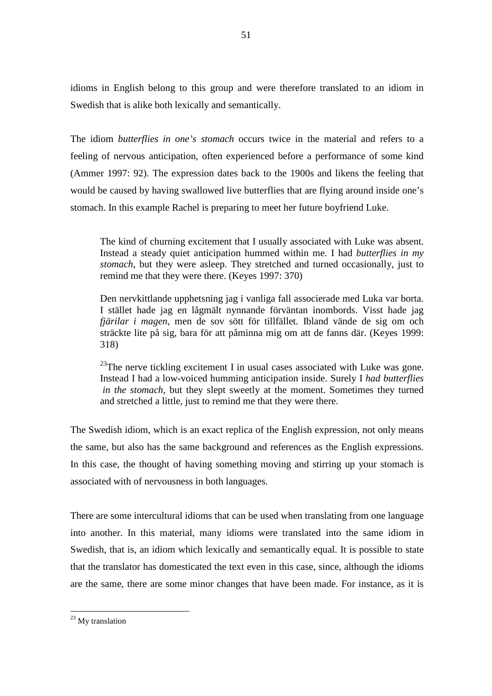idioms in English belong to this group and were therefore translated to an idiom in Swedish that is alike both lexically and semantically.

The idiom *butterflies in one's stomach* occurs twice in the material and refers to a feeling of nervous anticipation, often experienced before a performance of some kind (Ammer 1997: 92). The expression dates back to the 1900s and likens the feeling that would be caused by having swallowed live butterflies that are flying around inside one's stomach. In this example Rachel is preparing to meet her future boyfriend Luke.

 The kind of churning excitement that I usually associated with Luke was absent. Instead a steady quiet anticipation hummed within me. I had *butterflies in my stomach*, but they were asleep. They stretched and turned occasionally, just to remind me that they were there. (Keyes 1997: 370)

 Den nervkittlande upphetsning jag i vanliga fall associerade med Luka var borta. I stället hade jag en lågmält nynnande förväntan inombords. Visst hade jag  *fjärilar i magen*, men de sov sött för tillfället. Ibland vände de sig om och sträckte lite på sig, bara för att påminna mig om att de fanns där. (Keyes 1999: 318)

 $23$ The nerve tickling excitement I in usual cases associated with Luke was gone. Instead I had a low-voiced humming anticipation inside. Surely I *had butterflies in the stomach*, but they slept sweetly at the moment. Sometimes they turned and stretched a little, just to remind me that they were there.

The Swedish idiom, which is an exact replica of the English expression, not only means the same, but also has the same background and references as the English expressions. In this case, the thought of having something moving and stirring up your stomach is associated with of nervousness in both languages.

There are some intercultural idioms that can be used when translating from one language into another. In this material, many idioms were translated into the same idiom in Swedish, that is, an idiom which lexically and semantically equal. It is possible to state that the translator has domesticated the text even in this case, since, although the idioms are the same, there are some minor changes that have been made. For instance, as it is

 $\overline{a}$ <sup>23</sup> My translation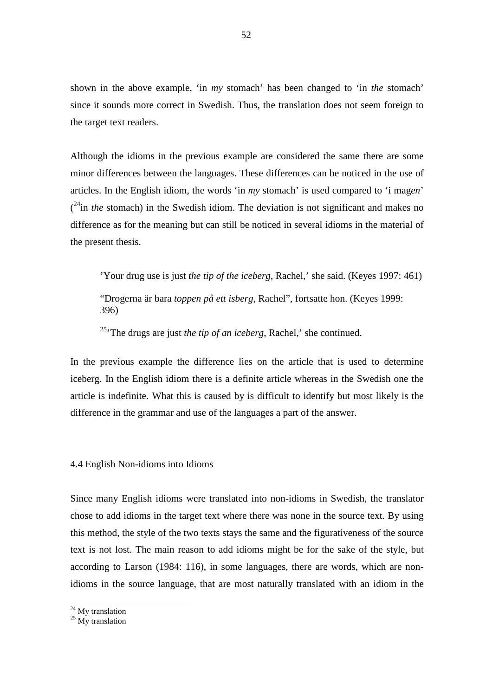shown in the above example, 'in *my* stomach' has been changed to 'in *the* stomach' since it sounds more correct in Swedish. Thus, the translation does not seem foreign to the target text readers.

Although the idioms in the previous example are considered the same there are some minor differences between the languages. These differences can be noticed in the use of articles. In the English idiom, the words 'in *my* stomach' is used compared to 'i mag*en*'  $(2<sup>4</sup>$ in *the* stomach) in the Swedish idiom. The deviation is not significant and makes no difference as for the meaning but can still be noticed in several idioms in the material of the present thesis.

'Your drug use is just *the tip of the iceberg*, Rachel,' she said. (Keyes 1997: 461)

 "Drogerna är bara *toppen på ett isberg*, Rachel", fortsatte hon. (Keyes 1999: 396)

<sup>25</sup>'The drugs are just *the tip of an iceberg*, Rachel,' she continued.

In the previous example the difference lies on the article that is used to determine iceberg. In the English idiom there is a definite article whereas in the Swedish one the article is indefinite. What this is caused by is difficult to identify but most likely is the difference in the grammar and use of the languages a part of the answer.

4.4 English Non-idioms into Idioms

Since many English idioms were translated into non-idioms in Swedish, the translator chose to add idioms in the target text where there was none in the source text. By using this method, the style of the two texts stays the same and the figurativeness of the source text is not lost. The main reason to add idioms might be for the sake of the style, but according to Larson (1984: 116), in some languages, there are words, which are nonidioms in the source language, that are most naturally translated with an idiom in the

<sup>&</sup>lt;sup>24</sup> My translation

 $25$  My translation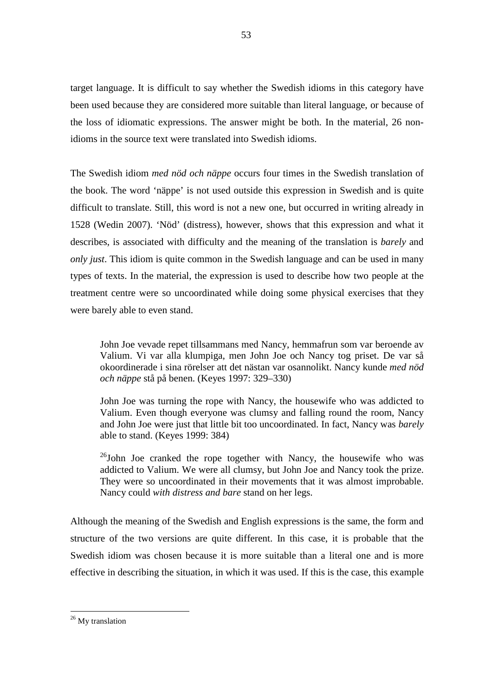target language. It is difficult to say whether the Swedish idioms in this category have been used because they are considered more suitable than literal language, or because of the loss of idiomatic expressions. The answer might be both. In the material, 26 nonidioms in the source text were translated into Swedish idioms.

The Swedish idiom *med nöd och näppe* occurs four times in the Swedish translation of the book. The word 'näppe' is not used outside this expression in Swedish and is quite difficult to translate. Still, this word is not a new one, but occurred in writing already in 1528 (Wedin 2007). 'Nöd' (distress), however, shows that this expression and what it describes, is associated with difficulty and the meaning of the translation is *barely* and *only just*. This idiom is quite common in the Swedish language and can be used in many types of texts. In the material, the expression is used to describe how two people at the treatment centre were so uncoordinated while doing some physical exercises that they were barely able to even stand.

 John Joe vevade repet tillsammans med Nancy, hemmafrun som var beroende av Valium. Vi var alla klumpiga, men John Joe och Nancy tog priset. De var så okoordinerade i sina rörelser att det nästan var osannolikt. Nancy kunde *med nöd och näppe* stå på benen. (Keyes 1997: 329–330)

 John Joe was turning the rope with Nancy, the housewife who was addicted to Valium. Even though everyone was clumsy and falling round the room, Nancy and John Joe were just that little bit too uncoordinated. In fact, Nancy was *barely* able to stand. (Keyes 1999: 384)

 $^{26}$ John Joe cranked the rope together with Nancy, the housewife who was addicted to Valium. We were all clumsy, but John Joe and Nancy took the prize. They were so uncoordinated in their movements that it was almost improbable. Nancy could *with distress and bare* stand on her legs.

Although the meaning of the Swedish and English expressions is the same, the form and structure of the two versions are quite different. In this case, it is probable that the Swedish idiom was chosen because it is more suitable than a literal one and is more effective in describing the situation, in which it was used. If this is the case, this example

<sup>&</sup>lt;sup>26</sup> My translation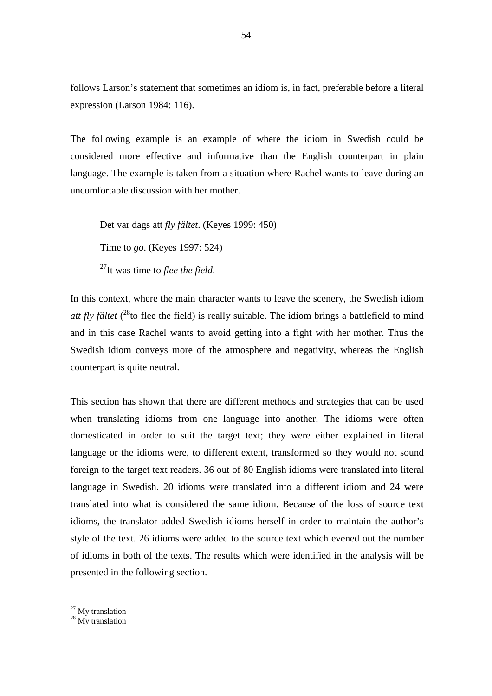follows Larson's statement that sometimes an idiom is, in fact, preferable before a literal expression (Larson 1984: 116).

The following example is an example of where the idiom in Swedish could be considered more effective and informative than the English counterpart in plain language. The example is taken from a situation where Rachel wants to leave during an uncomfortable discussion with her mother.

 Det var dags att *fly fältet*. (Keyes 1999: 450) Time to *go*. (Keyes 1997: 524) <sup>27</sup>It was time to *flee the field*.

In this context, where the main character wants to leave the scenery, the Swedish idiom att fly fältet (<sup>28</sup>to flee the field) is really suitable. The idiom brings a battlefield to mind and in this case Rachel wants to avoid getting into a fight with her mother. Thus the Swedish idiom conveys more of the atmosphere and negativity, whereas the English counterpart is quite neutral.

This section has shown that there are different methods and strategies that can be used when translating idioms from one language into another. The idioms were often domesticated in order to suit the target text; they were either explained in literal language or the idioms were, to different extent, transformed so they would not sound foreign to the target text readers. 36 out of 80 English idioms were translated into literal language in Swedish. 20 idioms were translated into a different idiom and 24 were translated into what is considered the same idiom. Because of the loss of source text idioms, the translator added Swedish idioms herself in order to maintain the author's style of the text. 26 idioms were added to the source text which evened out the number of idioms in both of the texts. The results which were identified in the analysis will be presented in the following section.

<sup>&</sup>lt;sup>27</sup> My translation

<sup>&</sup>lt;sup>28</sup> My translation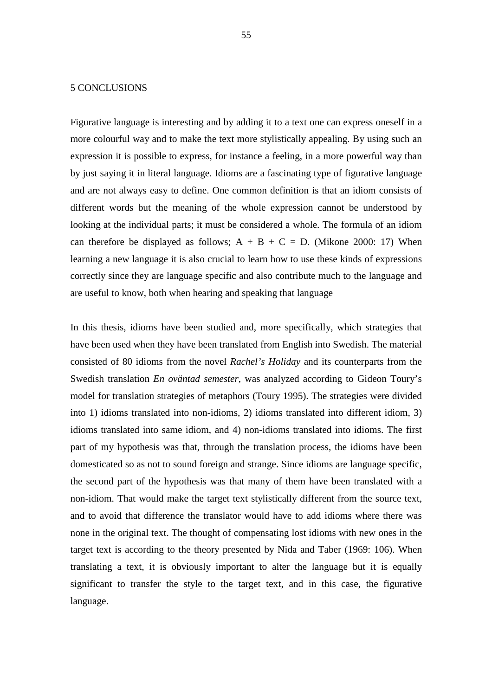## 5 CONCLUSIONS

Figurative language is interesting and by adding it to a text one can express oneself in a more colourful way and to make the text more stylistically appealing. By using such an expression it is possible to express, for instance a feeling, in a more powerful way than by just saying it in literal language. Idioms are a fascinating type of figurative language and are not always easy to define. One common definition is that an idiom consists of different words but the meaning of the whole expression cannot be understood by looking at the individual parts; it must be considered a whole. The formula of an idiom can therefore be displayed as follows;  $A + B + C = D$ . (Mikone 2000: 17) When learning a new language it is also crucial to learn how to use these kinds of expressions correctly since they are language specific and also contribute much to the language and are useful to know, both when hearing and speaking that language

In this thesis, idioms have been studied and, more specifically, which strategies that have been used when they have been translated from English into Swedish. The material consisted of 80 idioms from the novel *Rachel's Holiday* and its counterparts from the Swedish translation *En oväntad semester*, was analyzed according to Gideon Toury's model for translation strategies of metaphors (Toury 1995). The strategies were divided into 1) idioms translated into non-idioms, 2) idioms translated into different idiom, 3) idioms translated into same idiom, and 4) non-idioms translated into idioms. The first part of my hypothesis was that, through the translation process, the idioms have been domesticated so as not to sound foreign and strange. Since idioms are language specific, the second part of the hypothesis was that many of them have been translated with a non-idiom. That would make the target text stylistically different from the source text, and to avoid that difference the translator would have to add idioms where there was none in the original text. The thought of compensating lost idioms with new ones in the target text is according to the theory presented by Nida and Taber (1969: 106). When translating a text, it is obviously important to alter the language but it is equally significant to transfer the style to the target text, and in this case, the figurative language.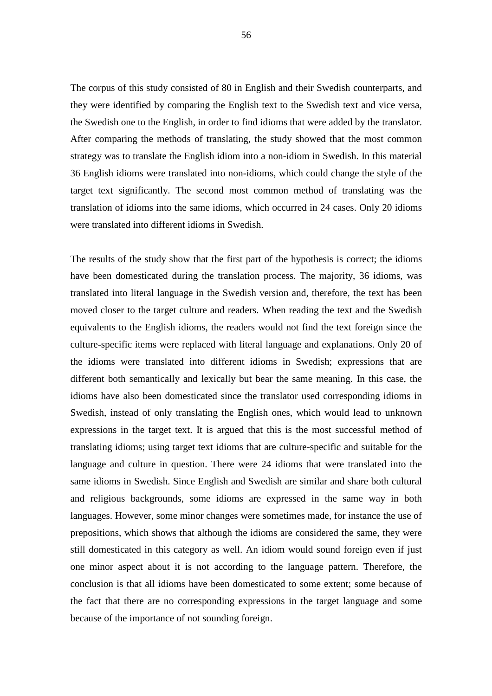The corpus of this study consisted of 80 in English and their Swedish counterparts, and they were identified by comparing the English text to the Swedish text and vice versa, the Swedish one to the English, in order to find idioms that were added by the translator. After comparing the methods of translating, the study showed that the most common strategy was to translate the English idiom into a non-idiom in Swedish. In this material 36 English idioms were translated into non-idioms, which could change the style of the target text significantly. The second most common method of translating was the translation of idioms into the same idioms, which occurred in 24 cases. Only 20 idioms were translated into different idioms in Swedish.

The results of the study show that the first part of the hypothesis is correct; the idioms have been domesticated during the translation process. The majority, 36 idioms, was translated into literal language in the Swedish version and, therefore, the text has been moved closer to the target culture and readers. When reading the text and the Swedish equivalents to the English idioms, the readers would not find the text foreign since the culture-specific items were replaced with literal language and explanations. Only 20 of the idioms were translated into different idioms in Swedish; expressions that are different both semantically and lexically but bear the same meaning. In this case, the idioms have also been domesticated since the translator used corresponding idioms in Swedish, instead of only translating the English ones, which would lead to unknown expressions in the target text. It is argued that this is the most successful method of translating idioms; using target text idioms that are culture-specific and suitable for the language and culture in question. There were 24 idioms that were translated into the same idioms in Swedish. Since English and Swedish are similar and share both cultural and religious backgrounds, some idioms are expressed in the same way in both languages. However, some minor changes were sometimes made, for instance the use of prepositions, which shows that although the idioms are considered the same, they were still domesticated in this category as well. An idiom would sound foreign even if just one minor aspect about it is not according to the language pattern. Therefore, the conclusion is that all idioms have been domesticated to some extent; some because of the fact that there are no corresponding expressions in the target language and some because of the importance of not sounding foreign.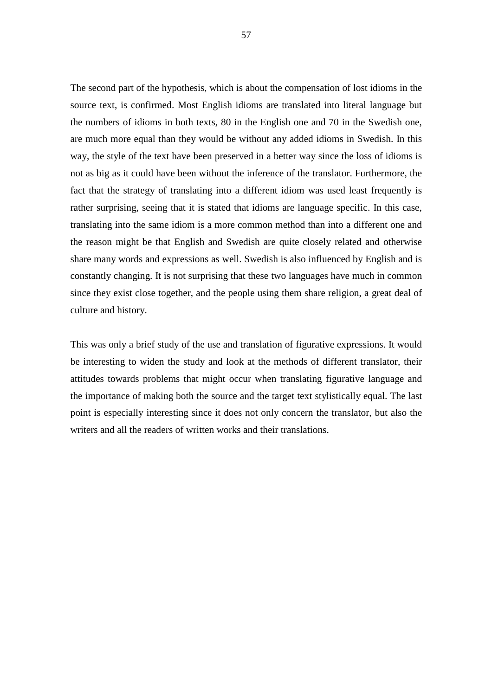The second part of the hypothesis, which is about the compensation of lost idioms in the source text, is confirmed. Most English idioms are translated into literal language but the numbers of idioms in both texts, 80 in the English one and 70 in the Swedish one, are much more equal than they would be without any added idioms in Swedish. In this way, the style of the text have been preserved in a better way since the loss of idioms is not as big as it could have been without the inference of the translator. Furthermore, the fact that the strategy of translating into a different idiom was used least frequently is rather surprising, seeing that it is stated that idioms are language specific. In this case, translating into the same idiom is a more common method than into a different one and the reason might be that English and Swedish are quite closely related and otherwise share many words and expressions as well. Swedish is also influenced by English and is constantly changing. It is not surprising that these two languages have much in common since they exist close together, and the people using them share religion, a great deal of culture and history.

This was only a brief study of the use and translation of figurative expressions. It would be interesting to widen the study and look at the methods of different translator, their attitudes towards problems that might occur when translating figurative language and the importance of making both the source and the target text stylistically equal. The last point is especially interesting since it does not only concern the translator, but also the writers and all the readers of written works and their translations.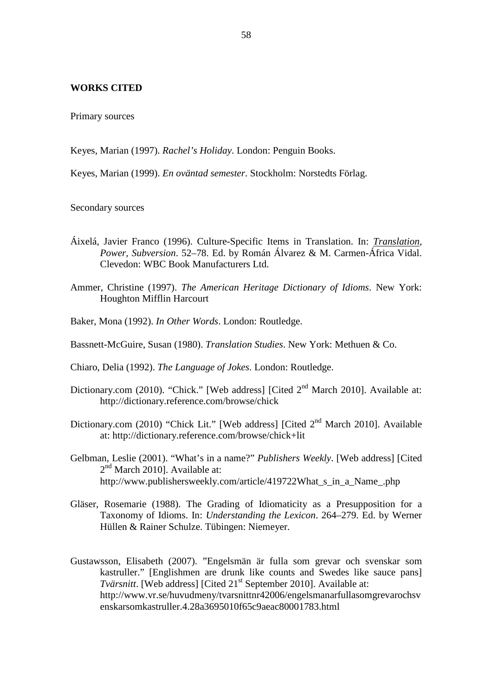## **WORKS CITED**

Primary sources

Keyes, Marian (1997). *Rachel's Holiday*. London: Penguin Books.

Keyes, Marian (1999). *En oväntad semester*. Stockholm: Norstedts Förlag.

Secondary sources

- Áixelá, Javier Franco (1996). Culture-Specific Items in Translation. In: *Translation, Power, Subversion*. 52–78. Ed. by Román Álvarez & M. Carmen-África Vidal. Clevedon: WBC Book Manufacturers Ltd.
- Ammer, Christine (1997). *The American Heritage Dictionary of Idioms*. New York: Houghton Mifflin Harcourt
- Baker, Mona (1992). *In Other Words*. London: Routledge.
- Bassnett-McGuire, Susan (1980). *Translation Studies*. New York: Methuen & Co.

Chiaro, Delia (1992). *The Language of Jokes*. London: Routledge.

- Dictionary.com (2010). "Chick." [Web address] [Cited 2<sup>nd</sup> March 2010]. Available at: http://dictionary.reference.com/browse/chick
- Dictionary.com (2010) "Chick Lit." [Web address] [Cited 2<sup>nd</sup> March 2010]. Available at: http://dictionary.reference.com/browse/chick+lit
- Gelbman, Leslie (2001). "What's in a name?" *Publishers Weekly*. [Web address] [Cited 2<sup>nd</sup> March 2010]. Available at: http://www.publishersweekly.com/article/419722What\_s\_in\_a\_Name\_.php
- Gläser, Rosemarie (1988). The Grading of Idiomaticity as a Presupposition for a Taxonomy of Idioms. In: *Understanding the Lexicon*. 264–279. Ed. by Werner Hüllen & Rainer Schulze. Tübingen: Niemeyer.
- Gustawsson, Elisabeth (2007). "Engelsmän är fulla som grevar och svenskar som kastruller." [Englishmen are drunk like counts and Swedes like sauce pans] *Tvärsnitt*. [Web address] [Cited 21<sup>st</sup> September 2010]. Available at: http://www.vr.se/huvudmeny/tvarsnittnr42006/engelsmanarfullasomgrevarochsv enskarsomkastruller.4.28a3695010f65c9aeac80001783.html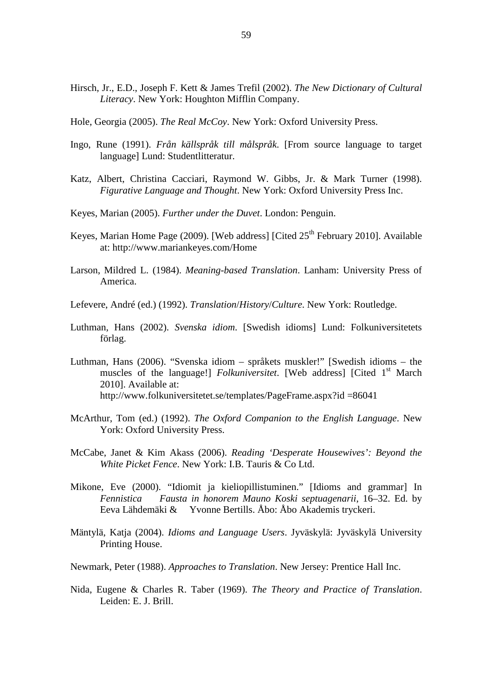- Hirsch, Jr., E.D., Joseph F. Kett & James Trefil (2002). *The New Dictionary of Cultural Literacy*. New York: Houghton Mifflin Company.
- Hole, Georgia (2005). *The Real McCoy*. New York: Oxford University Press.
- Ingo, Rune (1991). *Från källspråk till målspråk*. [From source language to target language] Lund: Studentlitteratur.
- Katz, Albert, Christina Cacciari, Raymond W. Gibbs, Jr. & Mark Turner (1998). *Figurative Language and Thought*. New York: Oxford University Press Inc.
- Keyes, Marian (2005). *Further under the Duvet*. London: Penguin.
- Keyes, Marian Home Page (2009). [Web address] [Cited  $25<sup>th</sup>$  February 2010]. Available at: http://www.mariankeyes.com/Home
- Larson, Mildred L. (1984). *Meaning-based Translation*. Lanham: University Press of America.
- Lefevere, André (ed.) (1992). *Translation*/*History*/*Culture*. New York: Routledge.
- Luthman, Hans (2002). *Svenska idiom*. [Swedish idioms] Lund: Folkuniversitetets förlag.
- Luthman, Hans (2006). "Svenska idiom språkets muskler!" [Swedish idioms the muscles of the language!] *Folkuniversitet*. [Web address] [Cited 1<sup>st</sup> March 2010]. Available at: http://www.folkuniversitetet.se/templates/PageFrame.aspx?id =86041
- McArthur, Tom (ed.) (1992). *The Oxford Companion to the English Language*. New York: Oxford University Press.
- McCabe, Janet & Kim Akass (2006). *Reading 'Desperate Housewives': Beyond the White Picket Fence*. New York: I.B. Tauris & Co Ltd.
- Mikone, Eve (2000). "Idiomit ja kieliopillistuminen." [Idioms and grammar] In *Fennistica Fausta in honorem Mauno Koski septuagenarii*, 16–32. Ed. by Eeva Lähdemäki & Yvonne Bertills. Åbo: Åbo Akademis tryckeri.
- Mäntylä, Katja (2004). *Idioms and Language Users*. Jyväskylä: Jyväskylä University Printing House.
- Newmark, Peter (1988). *Approaches to Translation*. New Jersey: Prentice Hall Inc.
- Nida, Eugene & Charles R. Taber (1969). *The Theory and Practice of Translation*. Leiden: E. J. Brill.